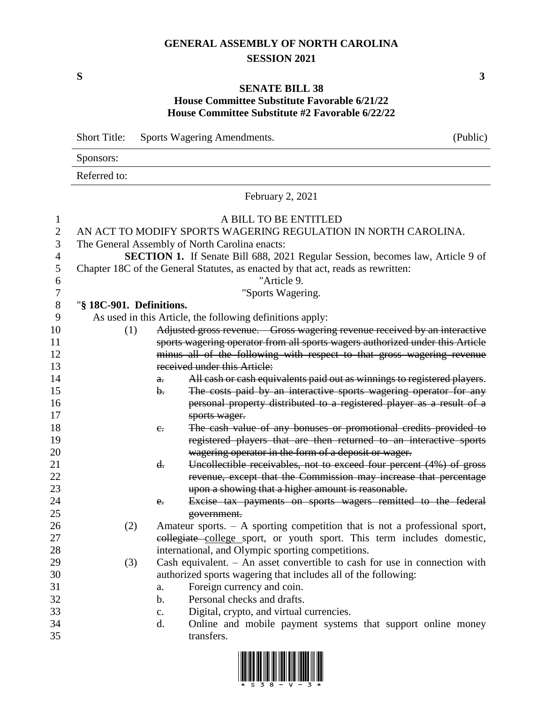# **GENERAL ASSEMBLY OF NORTH CAROLINA SESSION 2021**

**S 3**

### **SENATE BILL 38 House Committee Substitute Favorable 6/21/22 House Committee Substitute #2 Favorable 6/22/22**

|                | <b>Short Title:</b>                                                    |                | Sports Wagering Amendments.                                                           | (Public) |  |  |  |  |
|----------------|------------------------------------------------------------------------|----------------|---------------------------------------------------------------------------------------|----------|--|--|--|--|
|                | Sponsors:                                                              |                |                                                                                       |          |  |  |  |  |
|                | Referred to:                                                           |                |                                                                                       |          |  |  |  |  |
|                |                                                                        |                | February 2, 2021                                                                      |          |  |  |  |  |
| 1              |                                                                        |                | A BILL TO BE ENTITLED                                                                 |          |  |  |  |  |
| $\overline{c}$ |                                                                        |                | AN ACT TO MODIFY SPORTS WAGERING REGULATION IN NORTH CAROLINA.                        |          |  |  |  |  |
| 3              |                                                                        |                | The General Assembly of North Carolina enacts:                                        |          |  |  |  |  |
| 4              |                                                                        |                | <b>SECTION 1.</b> If Senate Bill 688, 2021 Regular Session, becomes law, Article 9 of |          |  |  |  |  |
| 5              |                                                                        |                | Chapter 18C of the General Statutes, as enacted by that act, reads as rewritten:      |          |  |  |  |  |
| 6              |                                                                        |                | "Article 9.                                                                           |          |  |  |  |  |
| 7              |                                                                        |                | "Sports Wagering.                                                                     |          |  |  |  |  |
| 8              | "§ 18C-901. Definitions.                                               |                |                                                                                       |          |  |  |  |  |
| 9              |                                                                        |                | As used in this Article, the following definitions apply:                             |          |  |  |  |  |
| 10             | (1)                                                                    |                | Adjusted gross revenue. Gross wagering revenue received by an interactive             |          |  |  |  |  |
| 11             |                                                                        |                | sports wagering operator from all sports wagers authorized under this Article         |          |  |  |  |  |
| 12             |                                                                        |                | minus all of the following with respect to that gross wagering revenue                |          |  |  |  |  |
| 13             |                                                                        |                | received under this Article:                                                          |          |  |  |  |  |
| 14             |                                                                        | a.             | All cash or cash equivalents paid out as winnings to registered players.              |          |  |  |  |  |
| 15             |                                                                        | $\mathbf{b}$ . | The costs paid by an interactive sports wagering operator for any                     |          |  |  |  |  |
| 16             |                                                                        |                | personal property distributed to a registered player as a result of a                 |          |  |  |  |  |
| 17             |                                                                        |                | sports wager.                                                                         |          |  |  |  |  |
| 18             |                                                                        | $e_{i}$        | The cash value of any bonuses or promotional credits provided to                      |          |  |  |  |  |
| 19             |                                                                        |                | registered players that are then returned to an interactive sports                    |          |  |  |  |  |
| 20             |                                                                        |                | wagering operator in the form of a deposit or wager.                                  |          |  |  |  |  |
| 21             |                                                                        | d.             | Uncollectible receivables, not to exceed four percent (4%) of gross                   |          |  |  |  |  |
| 22             |                                                                        |                | revenue, except that the Commission may increase that percentage                      |          |  |  |  |  |
| 23             |                                                                        |                | upon a showing that a higher amount is reasonable.                                    |          |  |  |  |  |
| 24             |                                                                        | e.             | Excise tax payments on sports wagers remitted to the federal                          |          |  |  |  |  |
| 25             |                                                                        |                | government.                                                                           |          |  |  |  |  |
| 26             | (2)                                                                    |                | Amateur sports. $-$ A sporting competition that is not a professional sport,          |          |  |  |  |  |
| 27             | eollegiate college sport, or youth sport. This term includes domestic, |                |                                                                                       |          |  |  |  |  |
| 28             |                                                                        |                | international, and Olympic sporting competitions.                                     |          |  |  |  |  |
| 29             | (3)                                                                    |                | Cash equivalent. $-$ An asset convertible to cash for use in connection with          |          |  |  |  |  |
| 30             |                                                                        |                | authorized sports wagering that includes all of the following:                        |          |  |  |  |  |
| 31             |                                                                        | a.             | Foreign currency and coin.                                                            |          |  |  |  |  |
| 32             |                                                                        | b.             | Personal checks and drafts.                                                           |          |  |  |  |  |
| 33             |                                                                        | c.             | Digital, crypto, and virtual currencies.                                              |          |  |  |  |  |
| 34             |                                                                        | d.             | Online and mobile payment systems that support online money                           |          |  |  |  |  |
| 35             |                                                                        |                | transfers.                                                                            |          |  |  |  |  |

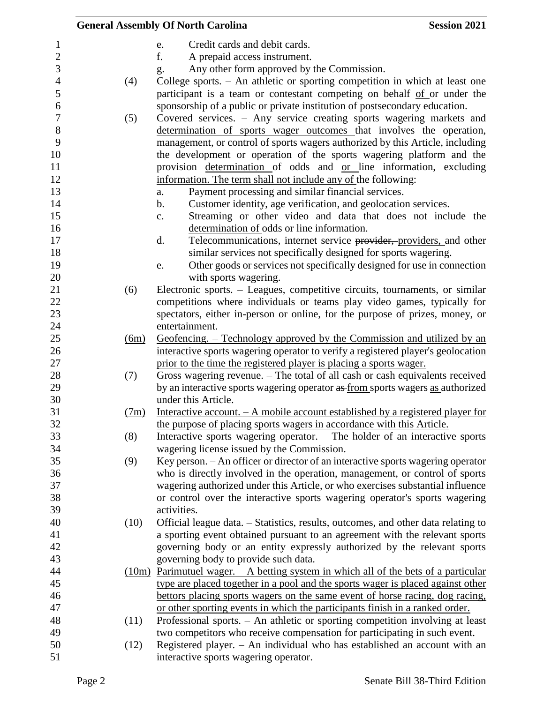|                  |      | <b>General Assembly Of North Carolina</b>                                                                                                                        | <b>Session 2021</b> |
|------------------|------|------------------------------------------------------------------------------------------------------------------------------------------------------------------|---------------------|
| $\mathbf{1}$     |      | Credit cards and debit cards.<br>e.                                                                                                                              |                     |
| $\sqrt{2}$       |      | f.<br>A prepaid access instrument.                                                                                                                               |                     |
| 3                |      | Any other form approved by the Commission.<br>g.                                                                                                                 |                     |
| $\overline{4}$   | (4)  | College sports. - An athletic or sporting competition in which at least one                                                                                      |                     |
| 5                |      | participant is a team or contestant competing on behalf of or under the                                                                                          |                     |
| 6                |      | sponsorship of a public or private institution of postsecondary education.                                                                                       |                     |
| $\boldsymbol{7}$ | (5)  | Covered services. - Any service creating sports wagering markets and                                                                                             |                     |
| $8\,$            |      | determination of sports wager outcomes that involves the operation,                                                                                              |                     |
| 9                |      | management, or control of sports wagers authorized by this Article, including                                                                                    |                     |
| 10               |      | the development or operation of the sports wagering platform and the                                                                                             |                     |
| 11               |      | provision determination of odds and or line information, excluding                                                                                               |                     |
| 12               |      | information. The term shall not include any of the following:                                                                                                    |                     |
| 13               |      | Payment processing and similar financial services.<br>a.                                                                                                         |                     |
| 14               |      | Customer identity, age verification, and geolocation services.<br>b.                                                                                             |                     |
| 15               |      | Streaming or other video and data that does not include the<br>c.                                                                                                |                     |
| 16               |      | determination of odds or line information.                                                                                                                       |                     |
| 17               |      | Telecommunications, internet service provider, providers, and other<br>d.                                                                                        |                     |
| 18               |      | similar services not specifically designed for sports wagering.                                                                                                  |                     |
| 19               |      | Other goods or services not specifically designed for use in connection<br>e.                                                                                    |                     |
| 20               |      | with sports wagering.                                                                                                                                            |                     |
| 21               | (6)  | Electronic sports. – Leagues, competitive circuits, tournaments, or similar                                                                                      |                     |
| 22               |      | competitions where individuals or teams play video games, typically for                                                                                          |                     |
| 23               |      | spectators, either in-person or online, for the purpose of prizes, money, or                                                                                     |                     |
| 24               |      | entertainment.                                                                                                                                                   |                     |
| 25               | (6m) | Geofencing. – Technology approved by the Commission and utilized by an                                                                                           |                     |
| 26               |      | interactive sports wagering operator to verify a registered player's geolocation                                                                                 |                     |
| 27               |      | prior to the time the registered player is placing a sports wager.                                                                                               |                     |
| 28               | (7)  | Gross wagering revenue. - The total of all cash or cash equivalents received                                                                                     |                     |
| 29               |      | by an interactive sports wagering operator as from sports wagers as authorized                                                                                   |                     |
| 30               |      | under this Article.                                                                                                                                              |                     |
| 31               | (7m) | Interactive account. - A mobile account established by a registered player for                                                                                   |                     |
| 32               |      | the purpose of placing sports wagers in accordance with this Article.                                                                                            |                     |
| 33               | (8)  | Interactive sports wagering operator. - The holder of an interactive sports                                                                                      |                     |
| 34               |      | wagering license issued by the Commission.                                                                                                                       |                     |
| 35               | (9)  | Key person. - An officer or director of an interactive sports wagering operator                                                                                  |                     |
| 36<br>37         |      | who is directly involved in the operation, management, or control of sports                                                                                      |                     |
| 38               |      | wagering authorized under this Article, or who exercises substantial influence                                                                                   |                     |
| 39               |      | or control over the interactive sports wagering operator's sports wagering<br>activities.                                                                        |                     |
| 40               |      |                                                                                                                                                                  |                     |
| 41               | (10) | Official league data. – Statistics, results, outcomes, and other data relating to<br>a sporting event obtained pursuant to an agreement with the relevant sports |                     |
| 42               |      | governing body or an entity expressly authorized by the relevant sports                                                                                          |                     |
| 43               |      | governing body to provide such data.                                                                                                                             |                     |
| 44               |      | $(10m)$ Parimutuel wager. $-$ A betting system in which all of the bets of a particular                                                                          |                     |
| 45               |      | type are placed together in a pool and the sports wager is placed against other                                                                                  |                     |
| 46               |      | bettors placing sports wagers on the same event of horse racing, dog racing,                                                                                     |                     |
| 47               |      | or other sporting events in which the participants finish in a ranked order.                                                                                     |                     |
| 48               | (11) | Professional sports. - An athletic or sporting competition involving at least                                                                                    |                     |
| 49               |      | two competitors who receive compensation for participating in such event.                                                                                        |                     |
| 50               | (12) | Registered player. - An individual who has established an account with an                                                                                        |                     |
| 51               |      | interactive sports wagering operator.                                                                                                                            |                     |
|                  |      |                                                                                                                                                                  |                     |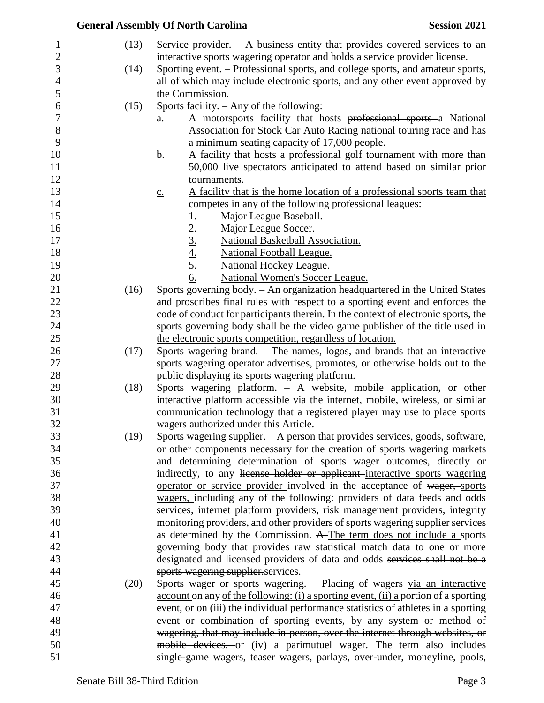|                   | <b>General Assembly Of North Carolina</b>                                                                    | <b>Session 2021</b> |
|-------------------|--------------------------------------------------------------------------------------------------------------|---------------------|
| (13)              | Service provider. $-$ A business entity that provides covered services to an                                 |                     |
|                   | interactive sports wagering operator and holds a service provider license.                                   |                     |
| (14)              | Sporting event. - Professional sports, and college sports, and amateur sports,                               |                     |
|                   | all of which may include electronic sports, and any other event approved by                                  |                     |
|                   | the Commission.                                                                                              |                     |
| (15)              | Sports facility. $-$ Any of the following:                                                                   |                     |
| a.                | A motorsports facility that hosts professional sports a National                                             |                     |
|                   | Association for Stock Car Auto Racing national touring race and has                                          |                     |
|                   | a minimum seating capacity of 17,000 people.                                                                 |                     |
| b.                | A facility that hosts a professional golf tournament with more than                                          |                     |
|                   | 50,000 live spectators anticipated to attend based on similar prior                                          |                     |
|                   | tournaments.                                                                                                 |                     |
| $\underline{C}$ . | A facility that is the home location of a professional sports team that                                      |                     |
|                   | competes in any of the following professional leagues:                                                       |                     |
|                   | Major League Baseball.                                                                                       |                     |
|                   | Major League Soccer.                                                                                         |                     |
|                   | $\frac{1}{2}$ .<br>$\frac{2}{3}$ .<br>$\frac{4}{4}$ .<br>$\frac{5}{5}$ .<br>National Basketball Association. |                     |
|                   | <b>National Football League.</b>                                                                             |                     |
|                   | <b>National Hockey League.</b>                                                                               |                     |
|                   | 6.<br><b>National Women's Soccer League.</b>                                                                 |                     |
| (16)              | Sports governing body. - An organization headquartered in the United States                                  |                     |
|                   | and proscribes final rules with respect to a sporting event and enforces the                                 |                     |
|                   | code of conduct for participants therein. In the context of electronic sports, the                           |                     |
|                   | sports governing body shall be the video game publisher of the title used in                                 |                     |
|                   | the electronic sports competition, regardless of location.                                                   |                     |
| (17)              | Sports wagering brand. – The names, logos, and brands that an interactive                                    |                     |
|                   | sports wagering operator advertises, promotes, or otherwise holds out to the                                 |                     |
|                   | public displaying its sports wagering platform.                                                              |                     |
| (18)              | Sports wagering platform. - A website, mobile application, or other                                          |                     |
|                   | interactive platform accessible via the internet, mobile, wireless, or similar                               |                     |
|                   | communication technology that a registered player may use to place sports                                    |                     |
|                   | wagers authorized under this Article.                                                                        |                     |
| (19)              | Sports wagering supplier. $- A$ person that provides services, goods, software,                              |                     |
|                   | or other components necessary for the creation of sports wagering markets                                    |                     |
|                   | and determining determination of sports wager outcomes, directly or                                          |                     |
|                   | indirectly, to any license holder or applicant interactive sports wagering                                   |                     |
|                   | operator or service provider involved in the acceptance of wager, sports                                     |                     |
|                   | wagers, including any of the following: providers of data feeds and odds                                     |                     |
|                   | services, internet platform providers, risk management providers, integrity                                  |                     |
|                   | monitoring providers, and other providers of sports wagering supplier services                               |                     |
|                   | as determined by the Commission. A The term does not include a sports                                        |                     |
|                   | governing body that provides raw statistical match data to one or more                                       |                     |
|                   | designated and licensed providers of data and odds services shall not be a                                   |                     |
|                   | sports wagering supplier.services.                                                                           |                     |
| (20)              | Sports wager or sports wagering. - Placing of wagers via an interactive                                      |                     |
|                   | account on any of the following: (i) a sporting event, (ii) a portion of a sporting                          |                     |
|                   | event, or on (iii) the individual performance statistics of athletes in a sporting                           |                     |
|                   | event or combination of sporting events, by any system or method of                                          |                     |
|                   | wagering, that may include in-person, over the internet through websites, or                                 |                     |
|                   | mobile devices. or (iv) a parimutuel wager. The term also includes                                           |                     |
|                   | single-game wagers, teaser wagers, parlays, over-under, moneyline, pools,                                    |                     |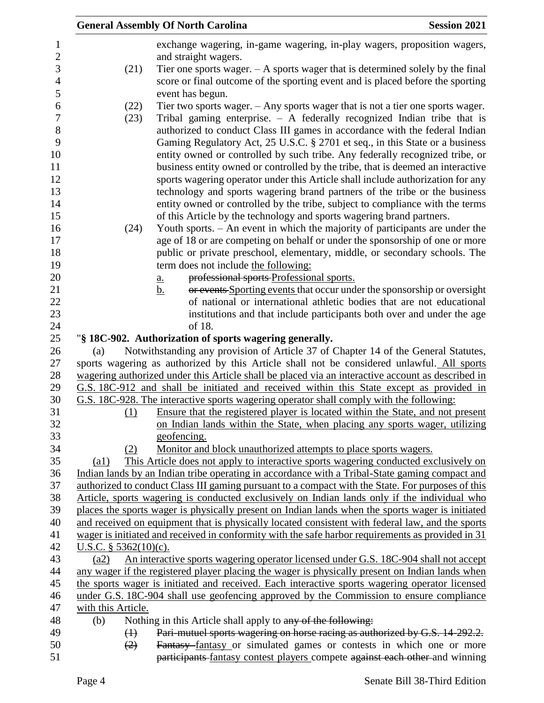|                         | <b>General Assembly Of North Carolina</b>                                                                                                                                                                                                | <b>Session 2021</b> |
|-------------------------|------------------------------------------------------------------------------------------------------------------------------------------------------------------------------------------------------------------------------------------|---------------------|
|                         | exchange wagering, in-game wagering, in-play wagers, proposition wagers,<br>and straight wagers.                                                                                                                                         |                     |
| (21)                    | Tier one sports wager. $- A$ sports wager that is determined solely by the final<br>score or final outcome of the sporting event and is placed before the sporting<br>event has begun.                                                   |                     |
| (22)                    | Tier two sports wager. $-$ Any sports wager that is not a tier one sports wager.                                                                                                                                                         |                     |
| (23)                    | Tribal gaming enterprise. $-$ A federally recognized Indian tribe that is<br>authorized to conduct Class III games in accordance with the federal Indian<br>Gaming Regulatory Act, 25 U.S.C. § 2701 et seq., in this State or a business |                     |
|                         | entity owned or controlled by such tribe. Any federally recognized tribe, or<br>business entity owned or controlled by the tribe, that is deemed an interactive                                                                          |                     |
|                         | sports wagering operator under this Article shall include authorization for any<br>technology and sports wagering brand partners of the tribe or the business                                                                            |                     |
|                         | entity owned or controlled by the tribe, subject to compliance with the terms                                                                                                                                                            |                     |
|                         | of this Article by the technology and sports wagering brand partners.                                                                                                                                                                    |                     |
| (24)                    | Youth sports. - An event in which the majority of participants are under the<br>age of 18 or are competing on behalf or under the sponsorship of one or more                                                                             |                     |
|                         | public or private preschool, elementary, middle, or secondary schools. The                                                                                                                                                               |                     |
|                         | term does not include the following:                                                                                                                                                                                                     |                     |
|                         | professional sports Professional sports.<br>a.                                                                                                                                                                                           |                     |
|                         | or events Sporting events that occur under the sponsorship or oversight<br><u>b.</u>                                                                                                                                                     |                     |
|                         | of national or international athletic bodies that are not educational                                                                                                                                                                    |                     |
|                         | institutions and that include participants both over and under the age                                                                                                                                                                   |                     |
|                         | of 18.                                                                                                                                                                                                                                   |                     |
|                         | "§ 18C-902. Authorization of sports wagering generally.                                                                                                                                                                                  |                     |
| (a)                     | Notwithstanding any provision of Article 37 of Chapter 14 of the General Statutes,                                                                                                                                                       |                     |
|                         | sports wagering as authorized by this Article shall not be considered unlawful. All sports                                                                                                                                               |                     |
|                         | wagering authorized under this Article shall be placed via an interactive account as described in                                                                                                                                        |                     |
|                         | G.S. 18C-912 and shall be initiated and received within this State except as provided in                                                                                                                                                 |                     |
|                         | G.S. 18C-928. The interactive sports wagering operator shall comply with the following:                                                                                                                                                  |                     |
| (1)                     | Ensure that the registered player is located within the State, and not present                                                                                                                                                           |                     |
|                         | on Indian lands within the State, when placing any sports wager, utilizing                                                                                                                                                               |                     |
|                         | geofencing.                                                                                                                                                                                                                              |                     |
| (2)                     | Monitor and block unauthorized attempts to place sports wagers.                                                                                                                                                                          |                     |
| (a1)                    | This Article does not apply to interactive sports wagering conducted exclusively on                                                                                                                                                      |                     |
|                         | Indian lands by an Indian tribe operating in accordance with a Tribal-State gaming compact and<br>authorized to conduct Class III gaming pursuant to a compact with the State. For purposes of this                                      |                     |
|                         | Article, sports wagering is conducted exclusively on Indian lands only if the individual who                                                                                                                                             |                     |
|                         | places the sports wager is physically present on Indian lands when the sports wager is initiated                                                                                                                                         |                     |
|                         | and received on equipment that is physically located consistent with federal law, and the sports                                                                                                                                         |                     |
|                         | wager is initiated and received in conformity with the safe harbor requirements as provided in 31                                                                                                                                        |                     |
| U.S.C. $§$ 5362(10)(c). |                                                                                                                                                                                                                                          |                     |
| (a2)                    | An interactive sports wagering operator licensed under G.S. 18C-904 shall not accept                                                                                                                                                     |                     |
|                         | any wager if the registered player placing the wager is physically present on Indian lands when                                                                                                                                          |                     |
|                         | the sports wager is initiated and received. Each interactive sports wagering operator licensed                                                                                                                                           |                     |
|                         | under G.S. 18C-904 shall use geofencing approved by the Commission to ensure compliance                                                                                                                                                  |                     |
| with this Article.      |                                                                                                                                                                                                                                          |                     |
| (b)                     | Nothing in this Article shall apply to any of the following:                                                                                                                                                                             |                     |
| $\leftrightarrow$       | Pari-mutuel sports wagering on horse racing as authorized by G.S. 14-292.2.                                                                                                                                                              |                     |
| (2)                     | Fantasy fantasy or simulated games or contests in which one or more                                                                                                                                                                      |                     |
|                         | participants fantasy contest players compete against each other and winning                                                                                                                                                              |                     |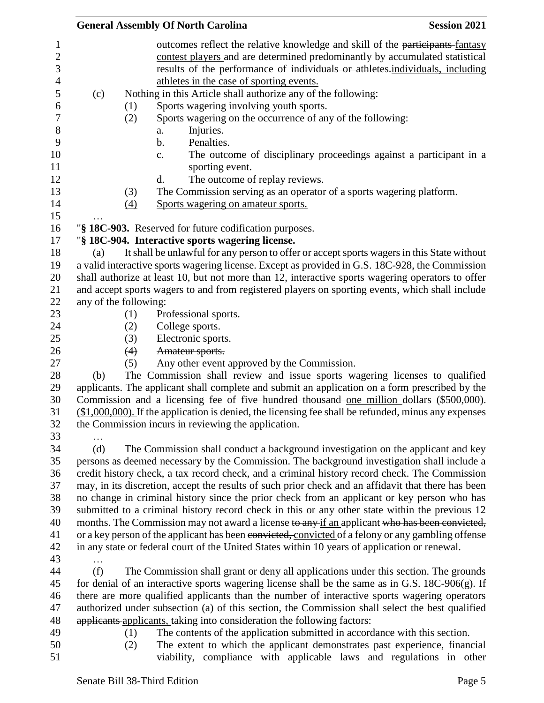|                       |                          | <b>General Assembly Of North Carolina</b>                                                                                                                                                                                                                                                                                                                                                                                                                                                                                                                                                                                                                                                                                                                                  | <b>Session 2021</b> |
|-----------------------|--------------------------|----------------------------------------------------------------------------------------------------------------------------------------------------------------------------------------------------------------------------------------------------------------------------------------------------------------------------------------------------------------------------------------------------------------------------------------------------------------------------------------------------------------------------------------------------------------------------------------------------------------------------------------------------------------------------------------------------------------------------------------------------------------------------|---------------------|
| (c)                   | (1)<br>(2)<br>(3)<br>(4) | outcomes reflect the relative knowledge and skill of the participants-fantasy<br>contest players and are determined predominantly by accumulated statistical<br>results of the performance of individuals or athletes-individuals, including<br>athletes in the case of sporting events.<br>Nothing in this Article shall authorize any of the following:<br>Sports wagering involving youth sports.<br>Sports wagering on the occurrence of any of the following:<br>Injuries.<br>a.<br>Penalties.<br>b.<br>The outcome of disciplinary proceedings against a participant in a<br>$\mathbf{C}$ .<br>sporting event.<br>d.<br>The outcome of replay reviews.<br>The Commission serving as an operator of a sports wagering platform.<br>Sports wagering on amateur sports. |                     |
|                       |                          |                                                                                                                                                                                                                                                                                                                                                                                                                                                                                                                                                                                                                                                                                                                                                                            |                     |
|                       |                          | "§ 18C-903. Reserved for future codification purposes.                                                                                                                                                                                                                                                                                                                                                                                                                                                                                                                                                                                                                                                                                                                     |                     |
|                       |                          | "§ 18C-904. Interactive sports wagering license.                                                                                                                                                                                                                                                                                                                                                                                                                                                                                                                                                                                                                                                                                                                           |                     |
| (a)                   |                          | It shall be unlawful for any person to offer or accept sports wagers in this State without<br>a valid interactive sports wagering license. Except as provided in G.S. 18C-928, the Commission<br>shall authorize at least 10, but not more than 12, interactive sports wagering operators to offer<br>and accept sports wagers to and from registered players on sporting events, which shall include                                                                                                                                                                                                                                                                                                                                                                      |                     |
| any of the following: |                          |                                                                                                                                                                                                                                                                                                                                                                                                                                                                                                                                                                                                                                                                                                                                                                            |                     |
|                       | (1)<br>(2)               | Professional sports.<br>College sports.                                                                                                                                                                                                                                                                                                                                                                                                                                                                                                                                                                                                                                                                                                                                    |                     |
|                       | (3)                      | Electronic sports.                                                                                                                                                                                                                                                                                                                                                                                                                                                                                                                                                                                                                                                                                                                                                         |                     |
|                       | (4)                      | Amateur sports.                                                                                                                                                                                                                                                                                                                                                                                                                                                                                                                                                                                                                                                                                                                                                            |                     |
|                       | (5)                      | Any other event approved by the Commission.                                                                                                                                                                                                                                                                                                                                                                                                                                                                                                                                                                                                                                                                                                                                |                     |
| (b)                   |                          | The Commission shall review and issue sports wagering licenses to qualified<br>applicants. The applicant shall complete and submit an application on a form prescribed by the<br>Commission and a licensing fee of five hundred thousand one million dollars (\$500,000).<br>$(\$1,000,000)$ . If the application is denied, the licensing fee shall be refunded, minus any expenses<br>the Commission incurs in reviewing the application.                                                                                                                                                                                                                                                                                                                                |                     |
| (d)                   |                          | The Commission shall conduct a background investigation on the applicant and key                                                                                                                                                                                                                                                                                                                                                                                                                                                                                                                                                                                                                                                                                           |                     |
|                       |                          | persons as deemed necessary by the Commission. The background investigation shall include a                                                                                                                                                                                                                                                                                                                                                                                                                                                                                                                                                                                                                                                                                |                     |
|                       |                          | credit history check, a tax record check, and a criminal history record check. The Commission                                                                                                                                                                                                                                                                                                                                                                                                                                                                                                                                                                                                                                                                              |                     |
|                       |                          | may, in its discretion, accept the results of such prior check and an affidavit that there has been                                                                                                                                                                                                                                                                                                                                                                                                                                                                                                                                                                                                                                                                        |                     |
|                       |                          | no change in criminal history since the prior check from an applicant or key person who has                                                                                                                                                                                                                                                                                                                                                                                                                                                                                                                                                                                                                                                                                |                     |
|                       |                          | submitted to a criminal history record check in this or any other state within the previous 12                                                                                                                                                                                                                                                                                                                                                                                                                                                                                                                                                                                                                                                                             |                     |
|                       |                          | months. The Commission may not award a license to any if an applicant who has been convicted,                                                                                                                                                                                                                                                                                                                                                                                                                                                                                                                                                                                                                                                                              |                     |
|                       |                          | or a key person of the applicant has been convicted, convicted of a felony or any gambling offense                                                                                                                                                                                                                                                                                                                                                                                                                                                                                                                                                                                                                                                                         |                     |
|                       |                          | in any state or federal court of the United States within 10 years of application or renewal.                                                                                                                                                                                                                                                                                                                                                                                                                                                                                                                                                                                                                                                                              |                     |
| (f)                   |                          | The Commission shall grant or deny all applications under this section. The grounds                                                                                                                                                                                                                                                                                                                                                                                                                                                                                                                                                                                                                                                                                        |                     |
|                       |                          | for denial of an interactive sports wagering license shall be the same as in G.S. $18C-906(g)$ . If                                                                                                                                                                                                                                                                                                                                                                                                                                                                                                                                                                                                                                                                        |                     |
|                       |                          | there are more qualified applicants than the number of interactive sports wagering operators                                                                                                                                                                                                                                                                                                                                                                                                                                                                                                                                                                                                                                                                               |                     |
|                       |                          | authorized under subsection (a) of this section, the Commission shall select the best qualified                                                                                                                                                                                                                                                                                                                                                                                                                                                                                                                                                                                                                                                                            |                     |
|                       |                          | applicants applicants, taking into consideration the following factors:                                                                                                                                                                                                                                                                                                                                                                                                                                                                                                                                                                                                                                                                                                    |                     |
|                       | (1)                      | The contents of the application submitted in accordance with this section.                                                                                                                                                                                                                                                                                                                                                                                                                                                                                                                                                                                                                                                                                                 |                     |
|                       | (2)                      | The extent to which the applicant demonstrates past experience, financial                                                                                                                                                                                                                                                                                                                                                                                                                                                                                                                                                                                                                                                                                                  |                     |
|                       |                          | viability, compliance with applicable laws and regulations in other                                                                                                                                                                                                                                                                                                                                                                                                                                                                                                                                                                                                                                                                                                        |                     |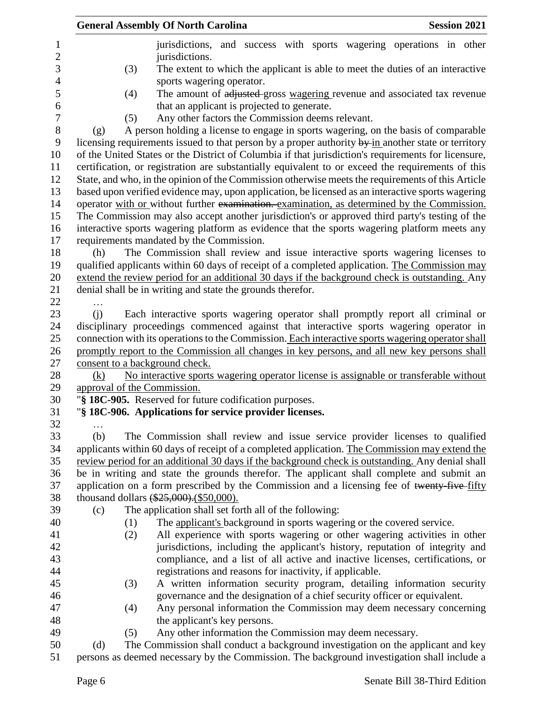| <b>General Assembly Of North Carolina</b>                                                                    |                                                                                                   |  |                                                          |                                                                                | <b>Session 2021</b> |
|--------------------------------------------------------------------------------------------------------------|---------------------------------------------------------------------------------------------------|--|----------------------------------------------------------|--------------------------------------------------------------------------------|---------------------|
|                                                                                                              |                                                                                                   |  |                                                          | jurisdictions, and success with sports wagering operations in other            |                     |
|                                                                                                              | jurisdictions.                                                                                    |  |                                                          |                                                                                |                     |
| (3)                                                                                                          |                                                                                                   |  |                                                          | The extent to which the applicant is able to meet the duties of an interactive |                     |
|                                                                                                              | sports wagering operator.                                                                         |  |                                                          |                                                                                |                     |
| (4)                                                                                                          |                                                                                                   |  |                                                          | The amount of adjusted gross wagering revenue and associated tax revenue       |                     |
|                                                                                                              | that an applicant is projected to generate.                                                       |  |                                                          |                                                                                |                     |
| (5)                                                                                                          | Any other factors the Commission deems relevant.                                                  |  |                                                          |                                                                                |                     |
| (g)                                                                                                          | A person holding a license to engage in sports wagering, on the basis of comparable               |  |                                                          |                                                                                |                     |
| licensing requirements issued to that person by a proper authority $\frac{by}{m}$ another state or territory |                                                                                                   |  |                                                          |                                                                                |                     |
| of the United States or the District of Columbia if that jurisdiction's requirements for licensure,          |                                                                                                   |  |                                                          |                                                                                |                     |
| certification, or registration are substantially equivalent to or exceed the requirements of this            |                                                                                                   |  |                                                          |                                                                                |                     |
|                                                                                                              | State, and who, in the opinion of the Commission otherwise meets the requirements of this Article |  |                                                          |                                                                                |                     |
| based upon verified evidence may, upon application, be licensed as an interactive sports wagering            |                                                                                                   |  |                                                          |                                                                                |                     |
| operator with or without further examination. examination, as determined by the Commission.                  |                                                                                                   |  |                                                          |                                                                                |                     |
| The Commission may also accept another jurisdiction's or approved third party's testing of the               |                                                                                                   |  |                                                          |                                                                                |                     |
| interactive sports wagering platform as evidence that the sports wagering platform meets any                 |                                                                                                   |  |                                                          |                                                                                |                     |
| requirements mandated by the Commission.                                                                     |                                                                                                   |  |                                                          |                                                                                |                     |
| (h)                                                                                                          | The Commission shall review and issue interactive sports wagering licenses to                     |  |                                                          |                                                                                |                     |
| qualified applicants within 60 days of receipt of a completed application. The Commission may                |                                                                                                   |  |                                                          |                                                                                |                     |
| extend the review period for an additional 30 days if the background check is outstanding. Any               |                                                                                                   |  |                                                          |                                                                                |                     |
| denial shall be in writing and state the grounds therefor.                                                   |                                                                                                   |  |                                                          |                                                                                |                     |
|                                                                                                              |                                                                                                   |  |                                                          |                                                                                |                     |
| (i)                                                                                                          | Each interactive sports wagering operator shall promptly report all criminal or                   |  |                                                          |                                                                                |                     |
| disciplinary proceedings commenced against that interactive sports wagering operator in                      |                                                                                                   |  |                                                          |                                                                                |                     |
| connection with its operations to the Commission. Each interactive sports wagering operator shall            |                                                                                                   |  |                                                          |                                                                                |                     |
| promptly report to the Commission all changes in key persons, and all new key persons shall                  |                                                                                                   |  |                                                          |                                                                                |                     |
| consent to a background check.                                                                               |                                                                                                   |  |                                                          |                                                                                |                     |
| (k)                                                                                                          | No interactive sports wagering operator license is assignable or transferable without             |  |                                                          |                                                                                |                     |
| approval of the Commission.                                                                                  |                                                                                                   |  |                                                          |                                                                                |                     |
|                                                                                                              | "§ 18C-905. Reserved for future codification purposes.                                            |  |                                                          |                                                                                |                     |
|                                                                                                              | "§ 18C-906. Applications for service provider licenses.                                           |  |                                                          |                                                                                |                     |
| .                                                                                                            |                                                                                                   |  |                                                          |                                                                                |                     |
| (b)                                                                                                          | The Commission shall review and issue service provider licenses to qualified                      |  |                                                          |                                                                                |                     |
| applicants within 60 days of receipt of a completed application. The Commission may extend the               |                                                                                                   |  |                                                          |                                                                                |                     |
| review period for an additional 30 days if the background check is outstanding. Any denial shall             |                                                                                                   |  |                                                          |                                                                                |                     |
| be in writing and state the grounds therefor. The applicant shall complete and submit an                     |                                                                                                   |  |                                                          |                                                                                |                     |
| application on a form prescribed by the Commission and a licensing fee of twenty-five-fifty                  |                                                                                                   |  |                                                          |                                                                                |                     |
| thousand dollars $(*25,000)$ . $(*50,000)$ .                                                                 |                                                                                                   |  |                                                          |                                                                                |                     |
| (c)                                                                                                          | The application shall set forth all of the following:                                             |  |                                                          |                                                                                |                     |
| (1)                                                                                                          |                                                                                                   |  |                                                          | The applicant's background in sports wagering or the covered service.          |                     |
| (2)                                                                                                          |                                                                                                   |  |                                                          | All experience with sports wagering or other wagering activities in other      |                     |
|                                                                                                              |                                                                                                   |  |                                                          | jurisdictions, including the applicant's history, reputation of integrity and  |                     |
|                                                                                                              |                                                                                                   |  |                                                          | compliance, and a list of all active and inactive licenses, certifications, or |                     |
|                                                                                                              | registrations and reasons for inactivity, if applicable.                                          |  |                                                          |                                                                                |                     |
| (3)                                                                                                          |                                                                                                   |  |                                                          | A written information security program, detailing information security         |                     |
|                                                                                                              |                                                                                                   |  |                                                          | governance and the designation of a chief security officer or equivalent.      |                     |
|                                                                                                              |                                                                                                   |  |                                                          |                                                                                |                     |
| (4)                                                                                                          |                                                                                                   |  |                                                          | Any personal information the Commission may deem necessary concerning          |                     |
|                                                                                                              | the applicant's key persons.                                                                      |  |                                                          |                                                                                |                     |
| (5)                                                                                                          |                                                                                                   |  | Any other information the Commission may deem necessary. |                                                                                |                     |
| (d)                                                                                                          | The Commission shall conduct a background investigation on the applicant and key                  |  |                                                          |                                                                                |                     |
|                                                                                                              | persons as deemed necessary by the Commission. The background investigation shall include a       |  |                                                          |                                                                                |                     |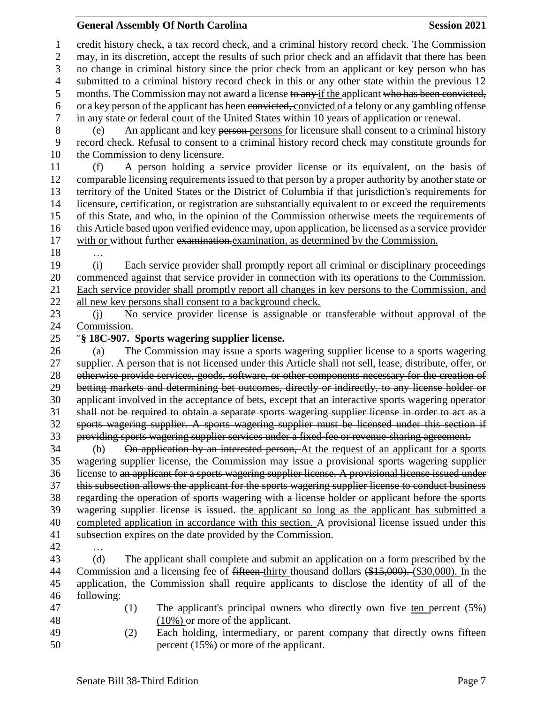#### **General Assembly Of North Carolina Session 2021**

 credit history check, a tax record check, and a criminal history record check. The Commission may, in its discretion, accept the results of such prior check and an affidavit that there has been no change in criminal history since the prior check from an applicant or key person who has submitted to a criminal history record check in this or any other state within the previous 12 5 months. The Commission may not award a license to any if the applicant who has been convicted, or a key person of the applicant has been convicted, convicted of a felony or any gambling offense in any state or federal court of the United States within 10 years of application or renewal. (e) An applicant and key person persons for licensure shall consent to a criminal history record check. Refusal to consent to a criminal history record check may constitute grounds for the Commission to deny licensure. (f) A person holding a service provider license or its equivalent, on the basis of comparable licensing requirements issued to that person by a proper authority by another state or territory of the United States or the District of Columbia if that jurisdiction's requirements for licensure, certification, or registration are substantially equivalent to or exceed the requirements of this State, and who, in the opinion of the Commission otherwise meets the requirements of this Article based upon verified evidence may, upon application, be licensed as a service provider with or without further examination.examination, as determined by the Commission. … (i) Each service provider shall promptly report all criminal or disciplinary proceedings commenced against that service provider in connection with its operations to the Commission. Each service provider shall promptly report all changes in key persons to the Commission, and all new key persons shall consent to a background check. (j) No service provider license is assignable or transferable without approval of the Commission. "**§ 18C-907. Sports wagering supplier license.** (a) The Commission may issue a sports wagering supplier license to a sports wagering 27 supplier. A person that is not licensed under this Article shall not sell, lease, distribute, offer, or otherwise provide services, goods, software, or other components necessary for the creation of betting markets and determining bet outcomes, directly or indirectly, to any license holder or applicant involved in the acceptance of bets, except that an interactive sports wagering operator shall not be required to obtain a separate sports wagering supplier license in order to act as a sports wagering supplier. A sports wagering supplier must be licensed under this section if providing sports wagering supplier services under a fixed-fee or revenue-sharing agreement. (b) On application by an interested person, At the request of an applicant for a sports wagering supplier license, the Commission may issue a provisional sports wagering supplier license to an applicant for a sports wagering supplier license. A provisional license issued under this subsection allows the applicant for the sports wagering supplier license to conduct business regarding the operation of sports wagering with a license holder or applicant before the sports 39 wagering supplier license is issued. the applicant so long as the applicant has submitted a completed application in accordance with this section. A provisional license issued under this subsection expires on the date provided by the Commission. … (d) The applicant shall complete and submit an application on a form prescribed by the 44 Commission and a licensing fee of <del>fifteen</del>-thirty thousand dollars (\$15,000). (\$30,000). In the application, the Commission shall require applicants to disclose the identity of all of the following: 47 (1) The applicant's principal owners who directly own  $f^2$  five ten percent  $(5\%)$ 48 (10%) or more of the applicant. (2) Each holding, intermediary, or parent company that directly owns fifteen percent (15%) or more of the applicant.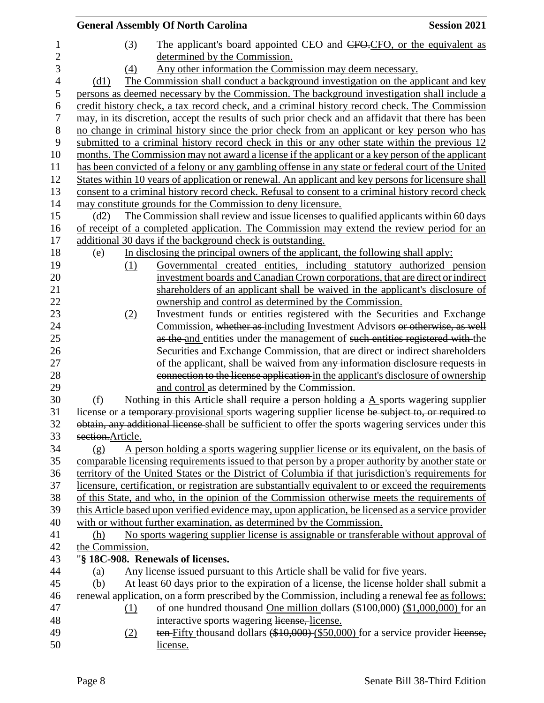|                | <b>General Assembly Of North Carolina</b>                                                            | <b>Session 2021</b> |
|----------------|------------------------------------------------------------------------------------------------------|---------------------|
| 1              | (3)<br>The applicant's board appointed CEO and CFO.CFO, or the equivalent as                         |                     |
| $\overline{c}$ | determined by the Commission.                                                                        |                     |
| 3              | Any other information the Commission may deem necessary.<br>(4)                                      |                     |
| $\overline{4}$ | The Commission shall conduct a background investigation on the applicant and key<br>(d1)             |                     |
| $\mathfrak s$  | persons as deemed necessary by the Commission. The background investigation shall include a          |                     |
| 6              | credit history check, a tax record check, and a criminal history record check. The Commission        |                     |
| 7              | may, in its discretion, accept the results of such prior check and an affidavit that there has been  |                     |
| $8\,$          | no change in criminal history since the prior check from an applicant or key person who has          |                     |
| 9              | submitted to a criminal history record check in this or any other state within the previous 12       |                     |
| 10             | months. The Commission may not award a license if the applicant or a key person of the applicant     |                     |
| 11             | has been convicted of a felony or any gambling offense in any state or federal court of the United   |                     |
|                |                                                                                                      |                     |
| 12             | States within 10 years of application or renewal. An applicant and key persons for licensure shall   |                     |
| 13             | consent to a criminal history record check. Refusal to consent to a criminal history record check    |                     |
| 14             | may constitute grounds for the Commission to deny licensure.                                         |                     |
| 15             | The Commission shall review and issue licenses to qualified applicants within 60 days<br>(d2)        |                     |
| 16             | of receipt of a completed application. The Commission may extend the review period for an            |                     |
| 17             | additional 30 days if the background check is outstanding.                                           |                     |
| 18             | In disclosing the principal owners of the applicant, the following shall apply:<br>(e)               |                     |
| 19             | Governmental created entities, including statutory authorized pension<br>(1)                         |                     |
| 20             | investment boards and Canadian Crown corporations, that are direct or indirect                       |                     |
| 21             | shareholders of an applicant shall be waived in the applicant's disclosure of                        |                     |
| 22             | ownership and control as determined by the Commission.                                               |                     |
| 23             | Investment funds or entities registered with the Securities and Exchange<br>(2)                      |                     |
| 24             | Commission, whether as including Investment Advisors or otherwise, as well                           |                     |
| 25             | as the and entities under the management of such entities registered with the                        |                     |
| 26             | Securities and Exchange Commission, that are direct or indirect shareholders                         |                     |
| 27             | of the applicant, shall be waived from any information disclosure requests in                        |                     |
| 28             | connection to the license application in the applicant's disclosure of ownership                     |                     |
| 29             | and control as determined by the Commission.                                                         |                     |
| 30             | Nothing in this Article shall require a person holding $a - A$ sports wagering supplier<br>(f)       |                     |
| 31             | license or a temporary provisional sports wagering supplier license be subject to, or required to    |                     |
| 32             | obtain, any additional license shall be sufficient to offer the sports wagering services under this  |                     |
| 33             | section.Article.                                                                                     |                     |
| 34             | A person holding a sports wagering supplier license or its equivalent, on the basis of<br>(g)        |                     |
| 35             | comparable licensing requirements issued to that person by a proper authority by another state or    |                     |
| 36             | territory of the United States or the District of Columbia if that jurisdiction's requirements for   |                     |
| 37             | licensure, certification, or registration are substantially equivalent to or exceed the requirements |                     |
| 38             | of this State, and who, in the opinion of the Commission otherwise meets the requirements of         |                     |
| 39             | this Article based upon verified evidence may, upon application, be licensed as a service provider   |                     |
| 40             | with or without further examination, as determined by the Commission.                                |                     |
| 41             | No sports wagering supplier license is assignable or transferable without approval of<br>(h)         |                     |
| 42             | the Commission.                                                                                      |                     |
| 43             | "§ 18C-908. Renewals of licenses.                                                                    |                     |
| 44             | Any license issued pursuant to this Article shall be valid for five years.<br>(a)                    |                     |
| 45             | At least 60 days prior to the expiration of a license, the license holder shall submit a<br>(b)      |                     |
| 46             | renewal application, on a form prescribed by the Commission, including a renewal fee as follows:     |                     |
| 47             | of one hundred thousand One million dollars (\$100,000) (\$1,000,000) for an<br>(1)                  |                     |
| 48             | interactive sports wagering license, license.                                                        |                     |
| 49             | ten-Fifty thousand dollars (\$10,000) (\$50,000) for a service provider license,<br>(2)              |                     |
| 50             | license.                                                                                             |                     |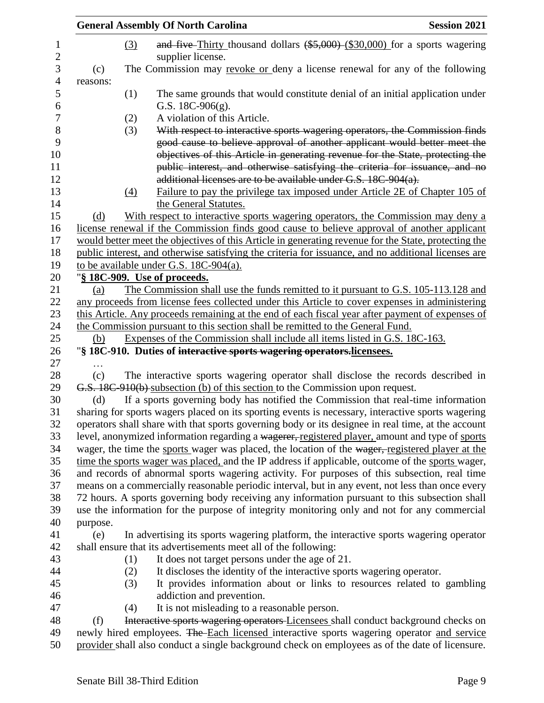|          |     | <b>General Assembly Of North Carolina</b>                                      | <b>Session 2021</b>                                                                                                                                                                                                                                                                                                       |
|----------|-----|--------------------------------------------------------------------------------|---------------------------------------------------------------------------------------------------------------------------------------------------------------------------------------------------------------------------------------------------------------------------------------------------------------------------|
|          | (3) | supplier license.                                                              | and five-Thirty thousand dollars $(*5,000)$ (\$30,000) for a sports wagering                                                                                                                                                                                                                                              |
| (c)      |     |                                                                                | The Commission may revoke or deny a license renewal for any of the following                                                                                                                                                                                                                                              |
| reasons: |     |                                                                                |                                                                                                                                                                                                                                                                                                                           |
|          | (1) |                                                                                | The same grounds that would constitute denial of an initial application under                                                                                                                                                                                                                                             |
|          |     | G.S. $18C-906(g)$ .                                                            |                                                                                                                                                                                                                                                                                                                           |
|          | (2) | A violation of this Article.                                                   |                                                                                                                                                                                                                                                                                                                           |
|          | (3) |                                                                                | With respect to interactive sports wagering operators, the Commission finds<br>good cause to believe approval of another applicant would better meet the<br>objectives of this Article in generating revenue for the State, protecting the<br>public interest, and otherwise satisfying the criteria for issuance, and no |
|          |     | additional licenses are to be available under G.S. 18C-904(a).                 |                                                                                                                                                                                                                                                                                                                           |
|          | (4) | the General Statutes.                                                          | Failure to pay the privilege tax imposed under Article 2E of Chapter 105 of                                                                                                                                                                                                                                               |
| (d)      |     |                                                                                | With respect to interactive sports wagering operators, the Commission may deny a                                                                                                                                                                                                                                          |
|          |     |                                                                                | license renewal if the Commission finds good cause to believe approval of another applicant                                                                                                                                                                                                                               |
|          |     |                                                                                | would better meet the objectives of this Article in generating revenue for the State, protecting the                                                                                                                                                                                                                      |
|          |     |                                                                                | public interest, and otherwise satisfying the criteria for issuance, and no additional licenses are                                                                                                                                                                                                                       |
|          |     | to be available under G.S. 18C-904(a).                                         |                                                                                                                                                                                                                                                                                                                           |
|          |     | "§ 18C-909. Use of proceeds.                                                   |                                                                                                                                                                                                                                                                                                                           |
| (a)      |     |                                                                                | The Commission shall use the funds remitted to it pursuant to G.S. 105-113.128 and                                                                                                                                                                                                                                        |
|          |     |                                                                                | any proceeds from license fees collected under this Article to cover expenses in administering                                                                                                                                                                                                                            |
|          |     |                                                                                | this Article. Any proceeds remaining at the end of each fiscal year after payment of expenses of                                                                                                                                                                                                                          |
|          |     | the Commission pursuant to this section shall be remitted to the General Fund. |                                                                                                                                                                                                                                                                                                                           |
| (b)      |     | Expenses of the Commission shall include all items listed in G.S. 18C-163.     |                                                                                                                                                                                                                                                                                                                           |
|          |     | "§ 18C-910. Duties of interactive sports wagering operators.licensees.         |                                                                                                                                                                                                                                                                                                                           |
|          |     |                                                                                |                                                                                                                                                                                                                                                                                                                           |
| (c)      |     |                                                                                | The interactive sports wagering operator shall disclose the records described in                                                                                                                                                                                                                                          |
|          |     | G.S. 18C-910(b) subsection (b) of this section to the Commission upon request. |                                                                                                                                                                                                                                                                                                                           |
| (d)      |     |                                                                                | If a sports governing body has notified the Commission that real-time information                                                                                                                                                                                                                                         |
|          |     |                                                                                | sharing for sports wagers placed on its sporting events is necessary, interactive sports wagering                                                                                                                                                                                                                         |
|          |     |                                                                                | operators shall share with that sports governing body or its designee in real time, at the account<br>level, anonymized information regarding a wagerer, registered player, amount and type of sports                                                                                                                     |
|          |     |                                                                                | wager, the time the sports wager was placed, the location of the wager, registered player at the                                                                                                                                                                                                                          |
|          |     |                                                                                | time the sports wager was placed, and the IP address if applicable, outcome of the sports wager,                                                                                                                                                                                                                          |
|          |     |                                                                                | and records of abnormal sports wagering activity. For purposes of this subsection, real time                                                                                                                                                                                                                              |
|          |     |                                                                                | means on a commercially reasonable periodic interval, but in any event, not less than once every                                                                                                                                                                                                                          |
|          |     |                                                                                | 72 hours. A sports governing body receiving any information pursuant to this subsection shall                                                                                                                                                                                                                             |
|          |     |                                                                                | use the information for the purpose of integrity monitoring only and not for any commercial                                                                                                                                                                                                                               |
| purpose. |     |                                                                                |                                                                                                                                                                                                                                                                                                                           |
| (e)      |     |                                                                                | In advertising its sports wagering platform, the interactive sports wagering operator                                                                                                                                                                                                                                     |
|          |     | shall ensure that its advertisements meet all of the following:                |                                                                                                                                                                                                                                                                                                                           |
|          | (1) | It does not target persons under the age of 21.                                |                                                                                                                                                                                                                                                                                                                           |
|          | (2) | It discloses the identity of the interactive sports wagering operator.         |                                                                                                                                                                                                                                                                                                                           |
|          | (3) |                                                                                | It provides information about or links to resources related to gambling                                                                                                                                                                                                                                                   |
|          |     | addiction and prevention.                                                      |                                                                                                                                                                                                                                                                                                                           |
|          | (4) | It is not misleading to a reasonable person.                                   |                                                                                                                                                                                                                                                                                                                           |
| (f)      |     |                                                                                | Interactive sports wagering operators Licensees shall conduct background checks on                                                                                                                                                                                                                                        |
|          |     |                                                                                | newly hired employees. The Each licensed interactive sports wagering operator and service                                                                                                                                                                                                                                 |
|          |     |                                                                                | provider shall also conduct a single background check on employees as of the date of licensure.                                                                                                                                                                                                                           |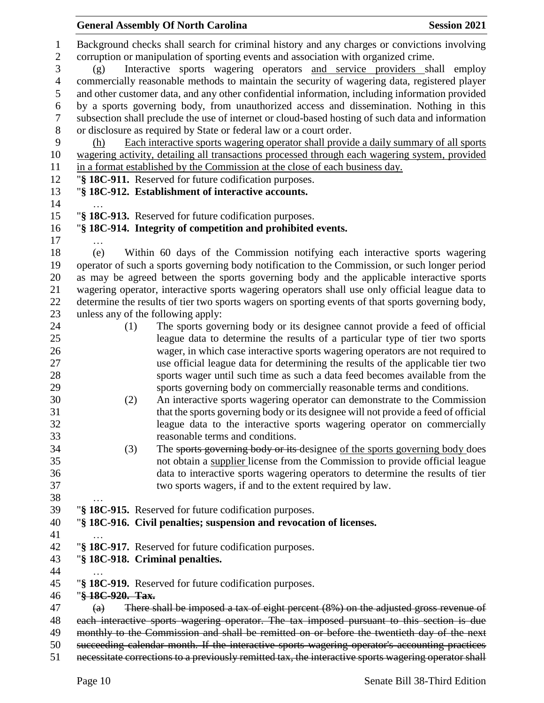|                   | <b>General Assembly Of North Carolina</b>                                                                                                                                           | <b>Session 2021</b> |
|-------------------|-------------------------------------------------------------------------------------------------------------------------------------------------------------------------------------|---------------------|
|                   | Background checks shall search for criminal history and any charges or convictions involving<br>corruption or manipulation of sporting events and association with organized crime. |                     |
| (g)               | Interactive sports wagering operators and service providers shall employ                                                                                                            |                     |
|                   | commercially reasonable methods to maintain the security of wagering data, registered player                                                                                        |                     |
|                   |                                                                                                                                                                                     |                     |
|                   | and other customer data, and any other confidential information, including information provided                                                                                     |                     |
|                   | by a sports governing body, from unauthorized access and dissemination. Nothing in this                                                                                             |                     |
|                   | subsection shall preclude the use of internet or cloud-based hosting of such data and information                                                                                   |                     |
|                   | or disclosure as required by State or federal law or a court order.                                                                                                                 |                     |
| (h)               | Each interactive sports wagering operator shall provide a daily summary of all sports                                                                                               |                     |
|                   | wagering activity, detailing all transactions processed through each wagering system, provided                                                                                      |                     |
|                   | in a format established by the Commission at the close of each business day.                                                                                                        |                     |
|                   | "§ 18C-911. Reserved for future codification purposes.                                                                                                                              |                     |
|                   | "§ 18C-912. Establishment of interactive accounts.                                                                                                                                  |                     |
|                   | "§ 18C-913. Reserved for future codification purposes.                                                                                                                              |                     |
|                   | "§ 18C-914. Integrity of competition and prohibited events.                                                                                                                         |                     |
| .                 |                                                                                                                                                                                     |                     |
| (e)               | Within 60 days of the Commission notifying each interactive sports wagering                                                                                                         |                     |
|                   | operator of such a sports governing body notification to the Commission, or such longer period                                                                                      |                     |
|                   | as may be agreed between the sports governing body and the applicable interactive sports                                                                                            |                     |
|                   | wagering operator, interactive sports wagering operators shall use only official league data to                                                                                     |                     |
|                   | determine the results of tier two sports wagers on sporting events of that sports governing body,                                                                                   |                     |
|                   | unless any of the following apply:                                                                                                                                                  |                     |
| (1)               | The sports governing body or its designee cannot provide a feed of official                                                                                                         |                     |
|                   | league data to determine the results of a particular type of tier two sports                                                                                                        |                     |
|                   | wager, in which case interactive sports wagering operators are not required to                                                                                                      |                     |
|                   | use official league data for determining the results of the applicable tier two                                                                                                     |                     |
|                   | sports wager until such time as such a data feed becomes available from the                                                                                                         |                     |
|                   | sports governing body on commercially reasonable terms and conditions.                                                                                                              |                     |
| (2)               | An interactive sports wagering operator can demonstrate to the Commission                                                                                                           |                     |
|                   | that the sports governing body or its designee will not provide a feed of official                                                                                                  |                     |
|                   | league data to the interactive sports wagering operator on commercially                                                                                                             |                     |
|                   | reasonable terms and conditions.                                                                                                                                                    |                     |
| (3)               | The sports governing body or its designee of the sports governing body does                                                                                                         |                     |
|                   | not obtain a supplier license from the Commission to provide official league                                                                                                        |                     |
|                   | data to interactive sports wagering operators to determine the results of tier                                                                                                      |                     |
|                   | two sports wagers, if and to the extent required by law.                                                                                                                            |                     |
|                   |                                                                                                                                                                                     |                     |
|                   | "§ 18C-915. Reserved for future codification purposes.                                                                                                                              |                     |
|                   | "§ 18C-916. Civil penalties; suspension and revocation of licenses.                                                                                                                 |                     |
|                   |                                                                                                                                                                                     |                     |
|                   | "§ 18C-917. Reserved for future codification purposes.                                                                                                                              |                     |
|                   | "§ 18C-918. Criminal penalties.                                                                                                                                                     |                     |
|                   |                                                                                                                                                                                     |                     |
| "§ 18C-920. Tax.  | "§ 18C-919. Reserved for future codification purposes.                                                                                                                              |                     |
| $\left( a\right)$ | There shall be imposed a tax of eight percent $(8\%)$ on the adjusted gross revenue of                                                                                              |                     |
|                   | each interactive sports wagering operator. The tax imposed pursuant to this section is due                                                                                          |                     |
|                   | monthly to the Commission and shall be remitted on or before the twentieth day of the next                                                                                          |                     |
|                   | succeeding calendar month. If the interactive sports wagering operator's accounting practices                                                                                       |                     |
|                   | necessitate corrections to a previously remitted tax, the interactive sports wagering operator shall                                                                                |                     |
|                   |                                                                                                                                                                                     |                     |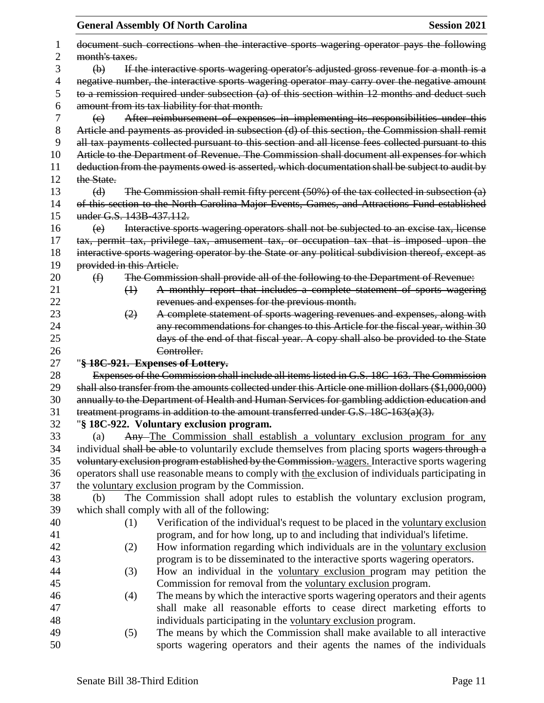|                | <b>General Assembly Of North Carolina</b>                                                                  | <b>Session 2021</b> |
|----------------|------------------------------------------------------------------------------------------------------------|---------------------|
| I              | document such corrections when the interactive sports wagering operator pays the following                 |                     |
| $\overline{c}$ | month's taxes.                                                                                             |                     |
| 3              | If the interactive sports wagering operator's adjusted gross revenue for a month is a<br>$\Theta$          |                     |
| 4              | negative number, the interactive sports wagering operator may carry over the negative amount               |                     |
| 5              | to a remission required under subsection (a) of this section within 12 months and deduct such              |                     |
| 6              | amount from its tax liability for that month.                                                              |                     |
| 7              | After reimbursement of expenses in implementing its responsibilities under this<br>$\left(\epsilon\right)$ |                     |
| 8              | Article and payments as provided in subsection (d) of this section, the Commission shall remit             |                     |
| 9              | all tax payments collected pursuant to this section and all license fees collected pursuant to this        |                     |
| 10             | Article to the Department of Revenue. The Commission shall document all expenses for which                 |                     |
| 11             | deduction from the payments owed is asserted, which documentation shall be subject to audit by             |                     |
| 12             | the State.                                                                                                 |                     |
| 13             | The Commission shall remit fifty percent $(50%)$ of the tax collected in subsection $(a)$<br>(d)           |                     |
| 14             | of this section to the North Carolina Major Events, Games, and Attractions Fund established                |                     |
| 15             | under G.S. 143B-437.112.                                                                                   |                     |
| 16             | Interactive sports wagering operators shall not be subjected to an excise tax, license<br>(e)              |                     |
| 17             | tax, permit tax, privilege tax, amusement tax, or occupation tax that is imposed upon the                  |                     |
| 18             | interactive sports wagering operator by the State or any political subdivision thereof, except as          |                     |
| 19             | provided in this Article.                                                                                  |                     |
| 20             | The Commission shall provide all of the following to the Department of Revenue:<br>$\bigoplus$             |                     |
| 21             | A monthly report that includes a complete statement of sports wagering<br>$\leftrightarrow$                |                     |
| 22             | revenues and expenses for the previous month.                                                              |                     |
| 23             | A complete statement of sports wagering revenues and expenses, along with<br>(2)                           |                     |
| 24<br>25       | any recommendations for changes to this Article for the fiscal year, within 30                             |                     |
| 26             | days of the end of that fiscal year. A copy shall also be provided to the State<br>Controller.             |                     |
| 27             | "§ 18C-921. Expenses of Lottery.                                                                           |                     |
| 28             | Expenses of the Commission shall include all items listed in G.S. 18C-163. The Commission                  |                     |
| 29             | shall also transfer from the amounts collected under this Article one million dollars (\$1,000,000)        |                     |
| 30             | annually to the Department of Health and Human Services for gambling addiction education and               |                     |
| 31             | treatment programs in addition to the amount transferred under G.S. $18C-163(a)(3)$ .                      |                     |
| 32             | "§ 18C-922. Voluntary exclusion program.                                                                   |                     |
| 33             | Any-The Commission shall establish a voluntary exclusion program for any<br>(a)                            |                     |
| 34             | individual shall be able to voluntarily exclude themselves from placing sports wagers through a            |                     |
| 35             | voluntary exclusion program established by the Commission. wagers. Interactive sports wagering             |                     |
| 36             | operators shall use reasonable means to comply with the exclusion of individuals participating in          |                     |
| 37             | the voluntary exclusion program by the Commission.                                                         |                     |
| 38             | The Commission shall adopt rules to establish the voluntary exclusion program,<br>(b)                      |                     |
| 39             | which shall comply with all of the following:                                                              |                     |
| 40             | Verification of the individual's request to be placed in the voluntary exclusion<br>(1)                    |                     |
| 41             | program, and for how long, up to and including that individual's lifetime.                                 |                     |
| 42             | How information regarding which individuals are in the voluntary exclusion<br>(2)                          |                     |
| 43             | program is to be disseminated to the interactive sports wagering operators.                                |                     |
| 44             | How an individual in the voluntary exclusion program may petition the<br>(3)                               |                     |
| 45             | Commission for removal from the voluntary exclusion program.                                               |                     |
| 46             | The means by which the interactive sports wagering operators and their agents<br>(4)                       |                     |
| 47             | shall make all reasonable efforts to cease direct marketing efforts to                                     |                     |
| 48             | individuals participating in the voluntary exclusion program.                                              |                     |
| 49             | The means by which the Commission shall make available to all interactive<br>(5)                           |                     |
| 50             | sports wagering operators and their agents the names of the individuals                                    |                     |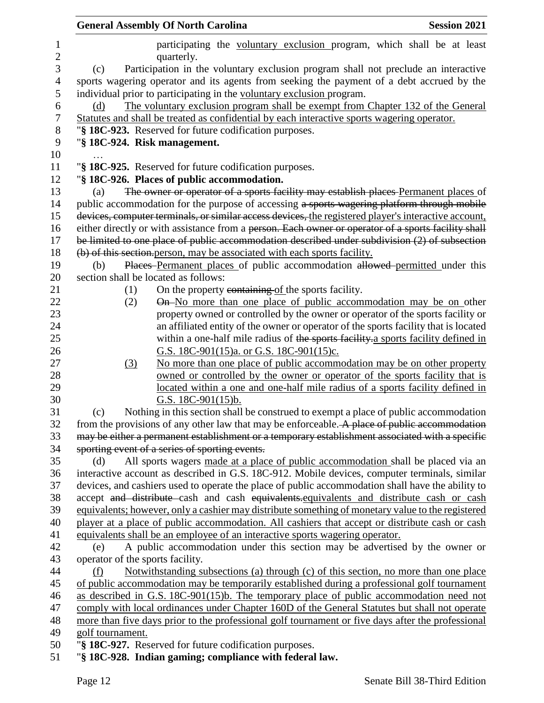|                   | <b>General Assembly Of North Carolina</b><br><b>Session 2021</b>                                       |
|-------------------|--------------------------------------------------------------------------------------------------------|
| 1<br>$\mathbf{2}$ | participating the voluntary exclusion program, which shall be at least<br>quarterly.                   |
| 3                 | Participation in the voluntary exclusion program shall not preclude an interactive<br>(c)              |
| 4                 | sports wagering operator and its agents from seeking the payment of a debt accrued by the              |
| 5                 | individual prior to participating in the voluntary exclusion program.                                  |
| 6                 | The voluntary exclusion program shall be exempt from Chapter 132 of the General<br>(d)                 |
| 7                 | Statutes and shall be treated as confidential by each interactive sports wagering operator.            |
| 8                 | "§ 18C-923. Reserved for future codification purposes.                                                 |
| 9                 | "§ 18C-924. Risk management.                                                                           |
| 10                |                                                                                                        |
| 11                | "§ 18C-925. Reserved for future codification purposes.                                                 |
| 12                | "§ 18C-926. Places of public accommodation.                                                            |
| 13                | The owner or operator of a sports facility may establish places Permanent places of<br>(a)             |
| 14                | public accommodation for the purpose of accessing a sports wagering platform through mobile            |
| 15                | devices, computer terminals, or similar access devices, the registered player's interactive account,   |
| 16                | either directly or with assistance from a person. Each owner or operator of a sports facility shall    |
| 17                | be limited to one place of public accommodation described under subdivision (2) of subsection          |
| 18                | (b) of this section person, may be associated with each sports facility.                               |
| 19                | Places Permanent places of public accommodation allowed permitted under this<br>(b)                    |
| 20                | section shall be located as follows:                                                                   |
| 21                | On the property containing of the sports facility.<br>(1)                                              |
| 22                | On-No more than one place of public accommodation may be on other<br>(2)                               |
| 23                | property owned or controlled by the owner or operator of the sports facility or                        |
| 24                | an affiliated entity of the owner or operator of the sports facility that is located                   |
| 25                | within a one-half mile radius of the sports facility a sports facility defined in                      |
| 26                | G.S. 18C-901(15)a. or G.S. 18C-901(15)c.                                                               |
| 27                | No more than one place of public accommodation may be on other property<br>(3)                         |
| 28                | owned or controlled by the owner or operator of the sports facility that is                            |
| 29<br>30          | located within a one and one-half mile radius of a sports facility defined in<br>G.S. $18C-901(15)b$ . |
| 31                | Nothing in this section shall be construed to exempt a place of public accommodation<br>(c)            |
| 32                | from the provisions of any other law that may be enforceable. A place of public accommodation          |
| 33                | may be either a permanent establishment or a temporary establishment associated with a specific        |
| 34                | sporting event of a series of sporting events.                                                         |
| 35                | All sports wagers made at a place of public accommodation shall be placed via an<br>(d)                |
| 36                | interactive account as described in G.S. 18C-912. Mobile devices, computer terminals, similar          |
| 37                | devices, and cashiers used to operate the place of public accommodation shall have the ability to      |
| 38                | accept and distribute cash and cash equivalents equivalents and distribute cash or cash                |
| 39                | equivalents; however, only a cashier may distribute something of monetary value to the registered      |
| 40                | player at a place of public accommodation. All cashiers that accept or distribute cash or cash         |
| 41                | equivalents shall be an employee of an interactive sports wagering operator.                           |
| 42                | A public accommodation under this section may be advertised by the owner or<br>(e)                     |
| 43                | operator of the sports facility.                                                                       |
| 44                | Notwithstanding subsections (a) through (c) of this section, no more than one place<br>(f)             |
| 45                | of public accommodation may be temporarily established during a professional golf tournament           |
| 46                | as described in G.S. 18C-901(15)b. The temporary place of public accommodation need not                |
| 47                | comply with local ordinances under Chapter 160D of the General Statutes but shall not operate          |
| 48                | more than five days prior to the professional golf tournament or five days after the professional      |
| 49                | golf tournament.                                                                                       |
| 50                | "§ 18C-927. Reserved for future codification purposes.                                                 |
| 51                | "§ 18C-928. Indian gaming; compliance with federal law.                                                |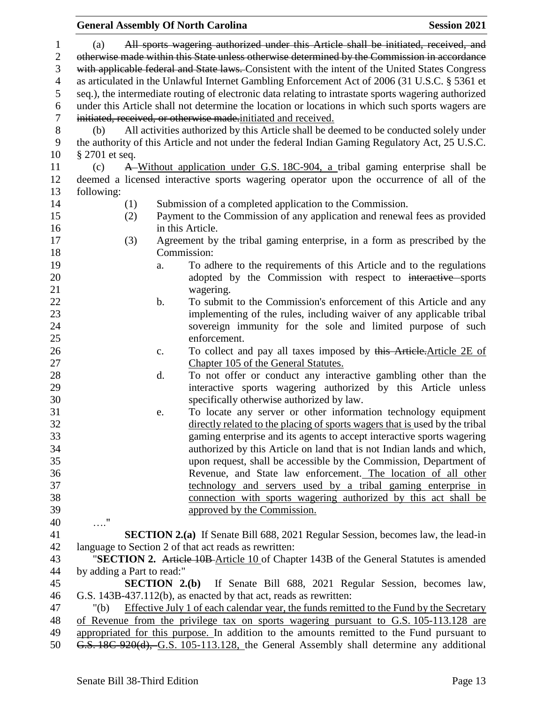|                |                                                                                                                                                                                     |                                                                                               |                | <b>General Assembly Of North Carolina</b>                                                            | <b>Session 2021</b> |  |  |  |
|----------------|-------------------------------------------------------------------------------------------------------------------------------------------------------------------------------------|-----------------------------------------------------------------------------------------------|----------------|------------------------------------------------------------------------------------------------------|---------------------|--|--|--|
| $\mathbf{1}$   | (a)                                                                                                                                                                                 |                                                                                               |                | All sports wagering authorized under this Article shall be initiated, received, and                  |                     |  |  |  |
| $\mathbf{2}$   | otherwise made within this State unless otherwise determined by the Commission in accordance                                                                                        |                                                                                               |                |                                                                                                      |                     |  |  |  |
| 3              | with applicable federal and State laws. Consistent with the intent of the United States Congress                                                                                    |                                                                                               |                |                                                                                                      |                     |  |  |  |
| $\overline{4}$ |                                                                                                                                                                                     | as articulated in the Unlawful Internet Gambling Enforcement Act of 2006 (31 U.S.C. § 5361 et |                |                                                                                                      |                     |  |  |  |
|                |                                                                                                                                                                                     |                                                                                               |                |                                                                                                      |                     |  |  |  |
| 5              |                                                                                                                                                                                     |                                                                                               |                | seq.), the intermediate routing of electronic data relating to intrastate sports wagering authorized |                     |  |  |  |
| 6              |                                                                                                                                                                                     |                                                                                               |                | under this Article shall not determine the location or locations in which such sports wagers are     |                     |  |  |  |
| $\tau$         |                                                                                                                                                                                     |                                                                                               |                | initiated, received, or otherwise made.initiated and received.                                       |                     |  |  |  |
| $8\,$          | (b)                                                                                                                                                                                 |                                                                                               |                | All activities authorized by this Article shall be deemed to be conducted solely under               |                     |  |  |  |
| 9              |                                                                                                                                                                                     |                                                                                               |                | the authority of this Article and not under the federal Indian Gaming Regulatory Act, 25 U.S.C.      |                     |  |  |  |
| 10             | $\S 2701$ et seq.                                                                                                                                                                   |                                                                                               |                |                                                                                                      |                     |  |  |  |
| 11             | (c)                                                                                                                                                                                 |                                                                                               |                | A Without application under G.S. 18C-904, a tribal gaming enterprise shall be                        |                     |  |  |  |
| 12             |                                                                                                                                                                                     |                                                                                               |                | deemed a licensed interactive sports wagering operator upon the occurrence of all of the             |                     |  |  |  |
| 13             | following:                                                                                                                                                                          |                                                                                               |                |                                                                                                      |                     |  |  |  |
| 14             |                                                                                                                                                                                     | (1)                                                                                           |                | Submission of a completed application to the Commission.                                             |                     |  |  |  |
| 15             |                                                                                                                                                                                     | (2)                                                                                           |                | Payment to the Commission of any application and renewal fees as provided                            |                     |  |  |  |
| 16             |                                                                                                                                                                                     |                                                                                               |                | in this Article.                                                                                     |                     |  |  |  |
| 17             |                                                                                                                                                                                     | (3)                                                                                           |                | Agreement by the tribal gaming enterprise, in a form as prescribed by the                            |                     |  |  |  |
| 18             |                                                                                                                                                                                     |                                                                                               |                | Commission:                                                                                          |                     |  |  |  |
| 19             |                                                                                                                                                                                     |                                                                                               | a.             | To adhere to the requirements of this Article and to the regulations                                 |                     |  |  |  |
| 20             |                                                                                                                                                                                     |                                                                                               |                | adopted by the Commission with respect to interactive sports                                         |                     |  |  |  |
| 21             |                                                                                                                                                                                     |                                                                                               |                | wagering.                                                                                            |                     |  |  |  |
| 22             |                                                                                                                                                                                     |                                                                                               | b.             | To submit to the Commission's enforcement of this Article and any                                    |                     |  |  |  |
| 23             |                                                                                                                                                                                     |                                                                                               |                | implementing of the rules, including waiver of any applicable tribal                                 |                     |  |  |  |
| 24             |                                                                                                                                                                                     |                                                                                               |                | sovereign immunity for the sole and limited purpose of such                                          |                     |  |  |  |
| 25             |                                                                                                                                                                                     |                                                                                               |                | enforcement.                                                                                         |                     |  |  |  |
| 26             |                                                                                                                                                                                     |                                                                                               | $\mathbf{c}$ . | To collect and pay all taxes imposed by this Article. Article 2E of                                  |                     |  |  |  |
| 27             |                                                                                                                                                                                     |                                                                                               |                | Chapter 105 of the General Statutes.                                                                 |                     |  |  |  |
| 28             |                                                                                                                                                                                     |                                                                                               | d.             | To not offer or conduct any interactive gambling other than the                                      |                     |  |  |  |
| 29             |                                                                                                                                                                                     |                                                                                               |                | interactive sports wagering authorized by this Article unless                                        |                     |  |  |  |
| 30             |                                                                                                                                                                                     |                                                                                               |                | specifically otherwise authorized by law.                                                            |                     |  |  |  |
| 31             |                                                                                                                                                                                     |                                                                                               | e.             | To locate any server or other information technology equipment                                       |                     |  |  |  |
| 32             |                                                                                                                                                                                     |                                                                                               |                | directly related to the placing of sports wagers that is used by the tribal                          |                     |  |  |  |
| 33             |                                                                                                                                                                                     |                                                                                               |                | gaming enterprise and its agents to accept interactive sports wagering                               |                     |  |  |  |
| 34             |                                                                                                                                                                                     |                                                                                               |                | authorized by this Article on land that is not Indian lands and which,                               |                     |  |  |  |
| 35             |                                                                                                                                                                                     |                                                                                               |                | upon request, shall be accessible by the Commission, Department of                                   |                     |  |  |  |
| 36             |                                                                                                                                                                                     |                                                                                               |                | Revenue, and State law enforcement. The location of all other                                        |                     |  |  |  |
| 37             |                                                                                                                                                                                     |                                                                                               |                | technology and servers used by a tribal gaming enterprise in                                         |                     |  |  |  |
| 38             |                                                                                                                                                                                     |                                                                                               |                | connection with sports wagering authorized by this act shall be                                      |                     |  |  |  |
| 39             |                                                                                                                                                                                     |                                                                                               |                | approved by the Commission.                                                                          |                     |  |  |  |
| 40             | $\ldots$ "                                                                                                                                                                          |                                                                                               |                |                                                                                                      |                     |  |  |  |
| 41             |                                                                                                                                                                                     |                                                                                               |                | <b>SECTION 2.(a)</b> If Senate Bill 688, 2021 Regular Session, becomes law, the lead-in              |                     |  |  |  |
| 42             |                                                                                                                                                                                     |                                                                                               |                | language to Section 2 of that act reads as rewritten:                                                |                     |  |  |  |
| 43             |                                                                                                                                                                                     |                                                                                               |                | "SECTION 2. Article 10B-Article 10 of Chapter 143B of the General Statutes is amended                |                     |  |  |  |
| 44             | by adding a Part to read:"                                                                                                                                                          |                                                                                               |                |                                                                                                      |                     |  |  |  |
| 45             | <b>SECTION 2.(b)</b> If Senate Bill 688, 2021 Regular Session, becomes law,                                                                                                         |                                                                                               |                |                                                                                                      |                     |  |  |  |
| 46             | G.S. 143B-437.112(b), as enacted by that act, reads as rewritten:                                                                                                                   |                                                                                               |                |                                                                                                      |                     |  |  |  |
| 47             | Effective July 1 of each calendar year, the funds remitted to the Fund by the Secretary<br>" $(b)$                                                                                  |                                                                                               |                |                                                                                                      |                     |  |  |  |
| 48             | of Revenue from the privilege tax on sports wagering pursuant to G.S. 105-113.128 are<br>appropriated for this purpose. In addition to the amounts remitted to the Fund pursuant to |                                                                                               |                |                                                                                                      |                     |  |  |  |
| 49             |                                                                                                                                                                                     |                                                                                               |                |                                                                                                      |                     |  |  |  |
| 50             | G.S. 18C-920(d), G.S. 105-113.128, the General Assembly shall determine any additional                                                                                              |                                                                                               |                |                                                                                                      |                     |  |  |  |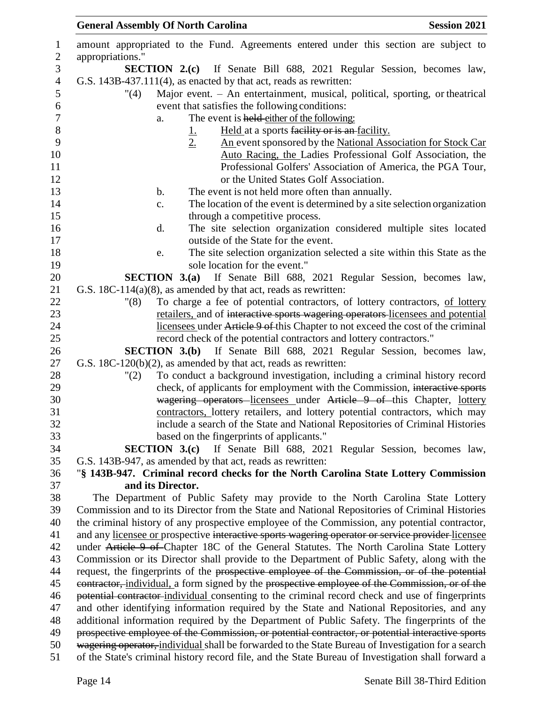| <b>General Assembly Of North Carolina</b> |                                                                                       | <b>Session 2021</b> |
|-------------------------------------------|---------------------------------------------------------------------------------------|---------------------|
|                                           | amount appropriated to the Fund. Agreements entered under this section are subject to |                     |
| appropriations."                          |                                                                                       |                     |
|                                           | <b>SECTION 2.(c)</b> If Senate Bill 688, 2021 Regular Session, becomes law,           |                     |
|                                           | G.S. $143B-437.111(4)$ , as enacted by that act, reads as rewritten:                  |                     |
| "(4)                                      | Major event. - An entertainment, musical, political, sporting, or theatrical          |                     |
|                                           | event that satisfies the following conditions:                                        |                     |
| a.                                        | The event is held either of the following:                                            |                     |
|                                           | Held at a sports facility or is an facility.                                          |                     |
|                                           | 2.<br>An event sponsored by the National Association for Stock Car                    |                     |
|                                           | Auto Racing, the Ladies Professional Golf Association, the                            |                     |
|                                           | Professional Golfers' Association of America, the PGA Tour,                           |                     |
|                                           | or the United States Golf Association.                                                |                     |
| b.                                        | The event is not held more often than annually.                                       |                     |
| c.                                        | The location of the event is determined by a site selection organization              |                     |

- 15 through a competitive process. d. The site selection organization considered multiple sites located outside of the State for the event.
- e. The site selection organization selected a site within this State as the 19 sole location for the event."

 **SECTION 3.(a)** If Senate Bill 688, 2021 Regular Session, becomes law, G.S. 18C-114(a)(8), as amended by that act, reads as rewritten:

 "(8) To charge a fee of potential contractors, of lottery contractors, of lottery retailers, and of interactive sports wagering operators licensees and potential licensees under Article 9 of this Chapter to not exceed the cost of the criminal record check of the potential contractors and lottery contractors."

 **SECTION 3.(b)** If Senate Bill 688, 2021 Regular Session, becomes law, G.S. 18C-120(b)(2), as amended by that act, reads as rewritten:

 "(2) To conduct a background investigation, including a criminal history record check, of applicants for employment with the Commission, interactive sports **wagering operators** licensees under Article 9 of this Chapter, lottery contractors, lottery retailers, and lottery potential contractors, which may include a search of the State and National Repositories of Criminal Histories based on the fingerprints of applicants."

 **SECTION 3.(c)** If Senate Bill 688, 2021 Regular Session, becomes law, G.S. 143B-947, as amended by that act, reads as rewritten:

## "**§ 143B-947. Criminal record checks for the North Carolina State Lottery Commission and its Director.**

 The Department of Public Safety may provide to the North Carolina State Lottery Commission and to its Director from the State and National Repositories of Criminal Histories the criminal history of any prospective employee of the Commission, any potential contractor, 41 and any licensee or prospective interactive sports wagering operator or service provider licensee 42 under Article 9 of Chapter 18C of the General Statutes. The North Carolina State Lottery Commission or its Director shall provide to the Department of Public Safety, along with the 44 request, the fingerprints of the prospective employee of the Commission, or of the potential 45 eontractor, individual, a form signed by the prospective employee of the Commission, or of the potential contractor individual consenting to the criminal record check and use of fingerprints and other identifying information required by the State and National Repositories, and any additional information required by the Department of Public Safety. The fingerprints of the 49 prospective employee of the Commission, or potential contractor, or potential interactive sports wagering operator, individual shall be forwarded to the State Bureau of Investigation for a search of the State's criminal history record file, and the State Bureau of Investigation shall forward a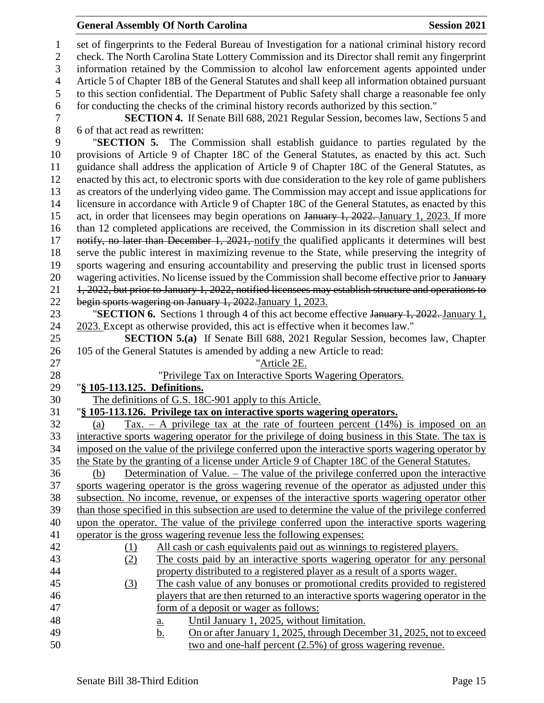#### **General Assembly Of North Carolina Session 2021**

 set of fingerprints to the Federal Bureau of Investigation for a national criminal history record check. The North Carolina State Lottery Commission and its Director shall remit any fingerprint information retained by the Commission to alcohol law enforcement agents appointed under Article 5 of Chapter 18B of the General Statutes and shall keep all information obtained pursuant to this section confidential. The Department of Public Safety shall charge a reasonable fee only for conducting the checks of the criminal history records authorized by this section." **SECTION 4.** If Senate Bill 688, 2021 Regular Session, becomes law, Sections 5 and 6 of that act read as rewritten: "**SECTION 5.** The Commission shall establish guidance to parties regulated by the provisions of Article 9 of Chapter 18C of the General Statutes, as enacted by this act. Such guidance shall address the application of Article 9 of Chapter 18C of the General Statutes, as enacted by this act, to electronic sports with due consideration to the key role of game publishers as creators of the underlying video game. The Commission may accept and issue applications for licensure in accordance with Article 9 of Chapter 18C of the General Statutes, as enacted by this 15 act, in order that licensees may begin operations on January 1, 2022. January 1, 2023. If more than 12 completed applications are received, the Commission in its discretion shall select and 17 notify, no later than December 1, 2021, notify the qualified applicants it determines will best serve the public interest in maximizing revenue to the State, while preserving the integrity of sports wagering and ensuring accountability and preserving the public trust in licensed sports 20 wagering activities. No license issued by the Commission shall become effective prior to January 21 1, 2022, but prior to January 1, 2022, notified licensees may establish structure and operations to begin sports wagering on January 1, 2022.January 1, 2023. "**SECTION 6.** Sections 1 through 4 of this act become effective January 1, 2022. January 1, 2023. Except as otherwise provided, this act is effective when it becomes law." **SECTION 5.(a)** If Senate Bill 688, 2021 Regular Session, becomes law, Chapter 105 of the General Statutes is amended by adding a new Article to read: "Article 2E. "Privilege Tax on Interactive Sports Wagering Operators. "**§ 105-113.125. Definitions.** The definitions of G.S. 18C-901 apply to this Article. "**§ 105-113.126. Privilege tax on interactive sports wagering operators.** 32 (a) Tax. – A privilege tax at the rate of fourteen percent  $(14%)$  is imposed on an interactive sports wagering operator for the privilege of doing business in this State. The tax is imposed on the value of the privilege conferred upon the interactive sports wagering operator by the State by the granting of a license under Article 9 of Chapter 18C of the General Statutes. (b) Determination of Value. – The value of the privilege conferred upon the interactive sports wagering operator is the gross wagering revenue of the operator as adjusted under this subsection. No income, revenue, or expenses of the interactive sports wagering operator other than those specified in this subsection are used to determine the value of the privilege conferred upon the operator. The value of the privilege conferred upon the interactive sports wagering operator is the gross wagering revenue less the following expenses: (1) All cash or cash equivalents paid out as winnings to registered players. (2) The costs paid by an interactive sports wagering operator for any personal property distributed to a registered player as a result of a sports wager. (3) The cash value of any bonuses or promotional credits provided to registered players that are then returned to an interactive sports wagering operator in the form of a deposit or wager as follows: a. Until January 1, 2025, without limitation. b. On or after January 1, 2025, through December 31, 2025, not to exceed two and one-half percent (2.5%) of gross wagering revenue.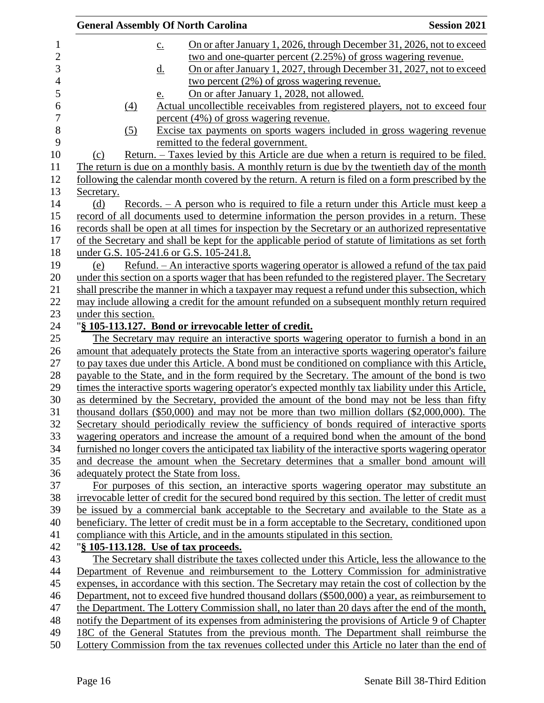| <b>General Assembly Of North Carolina</b> |                   |                                         | <b>Session 2021</b>                                              |                                                                                                       |
|-------------------------------------------|-------------------|-----------------------------------------|------------------------------------------------------------------|-------------------------------------------------------------------------------------------------------|
|                                           | $\underline{c}$ . |                                         |                                                                  | On or after January 1, 2026, through December 31, 2026, not to exceed                                 |
|                                           |                   |                                         |                                                                  | two and one-quarter percent (2.25%) of gross wagering revenue.                                        |
|                                           | <u>d.</u>         |                                         |                                                                  | On or after January 1, 2027, through December 31, 2027, not to exceed                                 |
|                                           |                   |                                         | <u>two percent <math>(2\%)</math> of gross wagering revenue.</u> |                                                                                                       |
|                                           | <u>e.</u>         |                                         | On or after January 1, 2028, not allowed.                        |                                                                                                       |
|                                           | (4)               |                                         |                                                                  | Actual uncollectible receivables from registered players, not to exceed four                          |
|                                           |                   |                                         | percent (4%) of gross wagering revenue.                          |                                                                                                       |
|                                           | (5)               |                                         |                                                                  | Excise tax payments on sports wagers included in gross wagering revenue                               |
|                                           |                   |                                         | remitted to the federal government.                              |                                                                                                       |
| (c)                                       |                   |                                         |                                                                  | <u>Return. – Taxes levied by this Article are due when a return is required to be filed.</u>          |
|                                           |                   |                                         |                                                                  | The return is due on a monthly basis. A monthly return is due by the twentieth day of the month       |
|                                           |                   |                                         |                                                                  | following the calendar month covered by the return. A return is filed on a form prescribed by the     |
| Secretary.                                |                   |                                         |                                                                  |                                                                                                       |
| (d)                                       |                   |                                         |                                                                  | Records. – A person who is required to file a return under this Article must keep a                   |
|                                           |                   |                                         |                                                                  | record of all documents used to determine information the person provides in a return. These          |
|                                           |                   |                                         |                                                                  | records shall be open at all times for inspection by the Secretary or an authorized representative    |
|                                           |                   |                                         |                                                                  | of the Secretary and shall be kept for the applicable period of statute of limitations as set forth   |
|                                           |                   | under G.S. 105-241.6 or G.S. 105-241.8. |                                                                  |                                                                                                       |
| (e)                                       |                   |                                         |                                                                  | <u>Refund. – An interactive sports wagering operator is allowed a refund of the tax paid</u>          |
|                                           |                   |                                         |                                                                  | under this section on a sports wager that has been refunded to the registered player. The Secretary   |
|                                           |                   |                                         |                                                                  | shall prescribe the manner in which a taxpayer may request a refund under this subsection, which      |
|                                           |                   |                                         |                                                                  | may include allowing a credit for the amount refunded on a subsequent monthly return required         |
| under this section.                       |                   |                                         |                                                                  |                                                                                                       |
|                                           |                   |                                         | "§ 105-113.127. Bond or irrevocable letter of credit.            |                                                                                                       |
|                                           |                   |                                         |                                                                  | The Secretary may require an interactive sports wagering operator to furnish a bond in an             |
|                                           |                   |                                         |                                                                  | amount that adequately protects the State from an interactive sports wagering operator's failure      |
|                                           |                   |                                         |                                                                  | to pay taxes due under this Article. A bond must be conditioned on compliance with this Article,      |
|                                           |                   |                                         |                                                                  | payable to the State, and in the form required by the Secretary. The amount of the bond is two        |
|                                           |                   |                                         |                                                                  | times the interactive sports wagering operator's expected monthly tax liability under this Article,   |
|                                           |                   |                                         |                                                                  | as determined by the Secretary, provided the amount of the bond may not be less than fifty            |
|                                           |                   |                                         |                                                                  | thousand dollars $(\$50,000)$ and may not be more than two million dollars $(\$2,000,000)$ . The      |
|                                           |                   |                                         |                                                                  | Secretary should periodically review the sufficiency of bonds required of interactive sports          |
|                                           |                   |                                         |                                                                  |                                                                                                       |
|                                           |                   |                                         |                                                                  | wagering operators and increase the amount of a required bond when the amount of the bond             |
|                                           |                   |                                         |                                                                  | furnished no longer covers the anticipated tax liability of the interactive sports wagering operator  |
|                                           |                   |                                         |                                                                  | and decrease the amount when the Secretary determines that a smaller bond amount will                 |
|                                           |                   | adequately protect the State from loss. |                                                                  |                                                                                                       |
|                                           |                   |                                         |                                                                  | For purposes of this section, an interactive sports wagering operator may substitute an               |
|                                           |                   |                                         |                                                                  | irrevocable letter of credit for the secured bond required by this section. The letter of credit must |
|                                           |                   |                                         |                                                                  | be issued by a commercial bank acceptable to the Secretary and available to the State as a            |
|                                           |                   |                                         |                                                                  | beneficiary. The letter of credit must be in a form acceptable to the Secretary, conditioned upon     |
|                                           |                   |                                         |                                                                  | compliance with this Article, and in the amounts stipulated in this section.                          |
|                                           |                   | "§ 105-113.128. Use of tax proceeds.    |                                                                  |                                                                                                       |
|                                           |                   |                                         |                                                                  | The Secretary shall distribute the taxes collected under this Article, less the allowance to the      |
|                                           |                   |                                         |                                                                  | Department of Revenue and reimbursement to the Lottery Commission for administrative                  |
|                                           |                   |                                         |                                                                  | expenses, in accordance with this section. The Secretary may retain the cost of collection by the     |
|                                           |                   |                                         |                                                                  | Department, not to exceed five hundred thousand dollars (\$500,000) a year, as reimbursement to       |
|                                           |                   |                                         |                                                                  | the Department. The Lottery Commission shall, no later than 20 days after the end of the month,       |
|                                           |                   |                                         |                                                                  | notify the Department of its expenses from administering the provisions of Article 9 of Chapter       |
|                                           |                   |                                         |                                                                  | 18C of the General Statutes from the previous month. The Department shall reimburse the               |
|                                           |                   |                                         |                                                                  | Lottery Commission from the tax revenues collected under this Article no later than the end of        |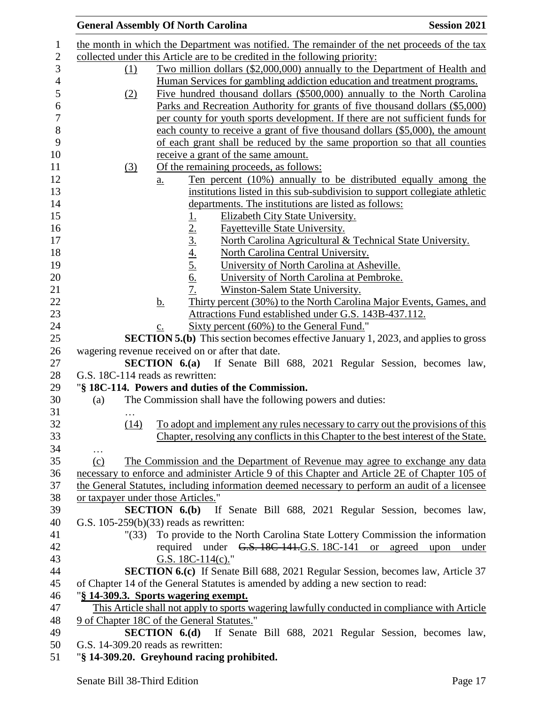|                      | <b>Session 2021</b>                                                                                                                                                                                                                                                                                                                                                                                                                                                                                                                                                                                                                                                                                                                                                                                                                                                                                                                                                                                                                                                                                                                                                                                                                                                                                                                                                                                                                                                                                                                                                                                                                                                                                                                                                                                                                                                                                                                                                                                                                                                                                                                                                                                                                                                                                                                                                                                                                                                                                                                                                                                                                                                                                                                                                                                                                                                                                                                                                                                                                                                                                                                                                                                                                                                                                                                               |
|----------------------|---------------------------------------------------------------------------------------------------------------------------------------------------------------------------------------------------------------------------------------------------------------------------------------------------------------------------------------------------------------------------------------------------------------------------------------------------------------------------------------------------------------------------------------------------------------------------------------------------------------------------------------------------------------------------------------------------------------------------------------------------------------------------------------------------------------------------------------------------------------------------------------------------------------------------------------------------------------------------------------------------------------------------------------------------------------------------------------------------------------------------------------------------------------------------------------------------------------------------------------------------------------------------------------------------------------------------------------------------------------------------------------------------------------------------------------------------------------------------------------------------------------------------------------------------------------------------------------------------------------------------------------------------------------------------------------------------------------------------------------------------------------------------------------------------------------------------------------------------------------------------------------------------------------------------------------------------------------------------------------------------------------------------------------------------------------------------------------------------------------------------------------------------------------------------------------------------------------------------------------------------------------------------------------------------------------------------------------------------------------------------------------------------------------------------------------------------------------------------------------------------------------------------------------------------------------------------------------------------------------------------------------------------------------------------------------------------------------------------------------------------------------------------------------------------------------------------------------------------------------------------------------------------------------------------------------------------------------------------------------------------------------------------------------------------------------------------------------------------------------------------------------------------------------------------------------------------------------------------------------------------------------------------------------------------------------------------------------------------|
|                      |                                                                                                                                                                                                                                                                                                                                                                                                                                                                                                                                                                                                                                                                                                                                                                                                                                                                                                                                                                                                                                                                                                                                                                                                                                                                                                                                                                                                                                                                                                                                                                                                                                                                                                                                                                                                                                                                                                                                                                                                                                                                                                                                                                                                                                                                                                                                                                                                                                                                                                                                                                                                                                                                                                                                                                                                                                                                                                                                                                                                                                                                                                                                                                                                                                                                                                                                                   |
|                      |                                                                                                                                                                                                                                                                                                                                                                                                                                                                                                                                                                                                                                                                                                                                                                                                                                                                                                                                                                                                                                                                                                                                                                                                                                                                                                                                                                                                                                                                                                                                                                                                                                                                                                                                                                                                                                                                                                                                                                                                                                                                                                                                                                                                                                                                                                                                                                                                                                                                                                                                                                                                                                                                                                                                                                                                                                                                                                                                                                                                                                                                                                                                                                                                                                                                                                                                                   |
|                      |                                                                                                                                                                                                                                                                                                                                                                                                                                                                                                                                                                                                                                                                                                                                                                                                                                                                                                                                                                                                                                                                                                                                                                                                                                                                                                                                                                                                                                                                                                                                                                                                                                                                                                                                                                                                                                                                                                                                                                                                                                                                                                                                                                                                                                                                                                                                                                                                                                                                                                                                                                                                                                                                                                                                                                                                                                                                                                                                                                                                                                                                                                                                                                                                                                                                                                                                                   |
|                      |                                                                                                                                                                                                                                                                                                                                                                                                                                                                                                                                                                                                                                                                                                                                                                                                                                                                                                                                                                                                                                                                                                                                                                                                                                                                                                                                                                                                                                                                                                                                                                                                                                                                                                                                                                                                                                                                                                                                                                                                                                                                                                                                                                                                                                                                                                                                                                                                                                                                                                                                                                                                                                                                                                                                                                                                                                                                                                                                                                                                                                                                                                                                                                                                                                                                                                                                                   |
|                      |                                                                                                                                                                                                                                                                                                                                                                                                                                                                                                                                                                                                                                                                                                                                                                                                                                                                                                                                                                                                                                                                                                                                                                                                                                                                                                                                                                                                                                                                                                                                                                                                                                                                                                                                                                                                                                                                                                                                                                                                                                                                                                                                                                                                                                                                                                                                                                                                                                                                                                                                                                                                                                                                                                                                                                                                                                                                                                                                                                                                                                                                                                                                                                                                                                                                                                                                                   |
|                      |                                                                                                                                                                                                                                                                                                                                                                                                                                                                                                                                                                                                                                                                                                                                                                                                                                                                                                                                                                                                                                                                                                                                                                                                                                                                                                                                                                                                                                                                                                                                                                                                                                                                                                                                                                                                                                                                                                                                                                                                                                                                                                                                                                                                                                                                                                                                                                                                                                                                                                                                                                                                                                                                                                                                                                                                                                                                                                                                                                                                                                                                                                                                                                                                                                                                                                                                                   |
|                      |                                                                                                                                                                                                                                                                                                                                                                                                                                                                                                                                                                                                                                                                                                                                                                                                                                                                                                                                                                                                                                                                                                                                                                                                                                                                                                                                                                                                                                                                                                                                                                                                                                                                                                                                                                                                                                                                                                                                                                                                                                                                                                                                                                                                                                                                                                                                                                                                                                                                                                                                                                                                                                                                                                                                                                                                                                                                                                                                                                                                                                                                                                                                                                                                                                                                                                                                                   |
|                      |                                                                                                                                                                                                                                                                                                                                                                                                                                                                                                                                                                                                                                                                                                                                                                                                                                                                                                                                                                                                                                                                                                                                                                                                                                                                                                                                                                                                                                                                                                                                                                                                                                                                                                                                                                                                                                                                                                                                                                                                                                                                                                                                                                                                                                                                                                                                                                                                                                                                                                                                                                                                                                                                                                                                                                                                                                                                                                                                                                                                                                                                                                                                                                                                                                                                                                                                                   |
|                      |                                                                                                                                                                                                                                                                                                                                                                                                                                                                                                                                                                                                                                                                                                                                                                                                                                                                                                                                                                                                                                                                                                                                                                                                                                                                                                                                                                                                                                                                                                                                                                                                                                                                                                                                                                                                                                                                                                                                                                                                                                                                                                                                                                                                                                                                                                                                                                                                                                                                                                                                                                                                                                                                                                                                                                                                                                                                                                                                                                                                                                                                                                                                                                                                                                                                                                                                                   |
|                      |                                                                                                                                                                                                                                                                                                                                                                                                                                                                                                                                                                                                                                                                                                                                                                                                                                                                                                                                                                                                                                                                                                                                                                                                                                                                                                                                                                                                                                                                                                                                                                                                                                                                                                                                                                                                                                                                                                                                                                                                                                                                                                                                                                                                                                                                                                                                                                                                                                                                                                                                                                                                                                                                                                                                                                                                                                                                                                                                                                                                                                                                                                                                                                                                                                                                                                                                                   |
|                      |                                                                                                                                                                                                                                                                                                                                                                                                                                                                                                                                                                                                                                                                                                                                                                                                                                                                                                                                                                                                                                                                                                                                                                                                                                                                                                                                                                                                                                                                                                                                                                                                                                                                                                                                                                                                                                                                                                                                                                                                                                                                                                                                                                                                                                                                                                                                                                                                                                                                                                                                                                                                                                                                                                                                                                                                                                                                                                                                                                                                                                                                                                                                                                                                                                                                                                                                                   |
|                      |                                                                                                                                                                                                                                                                                                                                                                                                                                                                                                                                                                                                                                                                                                                                                                                                                                                                                                                                                                                                                                                                                                                                                                                                                                                                                                                                                                                                                                                                                                                                                                                                                                                                                                                                                                                                                                                                                                                                                                                                                                                                                                                                                                                                                                                                                                                                                                                                                                                                                                                                                                                                                                                                                                                                                                                                                                                                                                                                                                                                                                                                                                                                                                                                                                                                                                                                                   |
|                      |                                                                                                                                                                                                                                                                                                                                                                                                                                                                                                                                                                                                                                                                                                                                                                                                                                                                                                                                                                                                                                                                                                                                                                                                                                                                                                                                                                                                                                                                                                                                                                                                                                                                                                                                                                                                                                                                                                                                                                                                                                                                                                                                                                                                                                                                                                                                                                                                                                                                                                                                                                                                                                                                                                                                                                                                                                                                                                                                                                                                                                                                                                                                                                                                                                                                                                                                                   |
|                      |                                                                                                                                                                                                                                                                                                                                                                                                                                                                                                                                                                                                                                                                                                                                                                                                                                                                                                                                                                                                                                                                                                                                                                                                                                                                                                                                                                                                                                                                                                                                                                                                                                                                                                                                                                                                                                                                                                                                                                                                                                                                                                                                                                                                                                                                                                                                                                                                                                                                                                                                                                                                                                                                                                                                                                                                                                                                                                                                                                                                                                                                                                                                                                                                                                                                                                                                                   |
|                      |                                                                                                                                                                                                                                                                                                                                                                                                                                                                                                                                                                                                                                                                                                                                                                                                                                                                                                                                                                                                                                                                                                                                                                                                                                                                                                                                                                                                                                                                                                                                                                                                                                                                                                                                                                                                                                                                                                                                                                                                                                                                                                                                                                                                                                                                                                                                                                                                                                                                                                                                                                                                                                                                                                                                                                                                                                                                                                                                                                                                                                                                                                                                                                                                                                                                                                                                                   |
|                      |                                                                                                                                                                                                                                                                                                                                                                                                                                                                                                                                                                                                                                                                                                                                                                                                                                                                                                                                                                                                                                                                                                                                                                                                                                                                                                                                                                                                                                                                                                                                                                                                                                                                                                                                                                                                                                                                                                                                                                                                                                                                                                                                                                                                                                                                                                                                                                                                                                                                                                                                                                                                                                                                                                                                                                                                                                                                                                                                                                                                                                                                                                                                                                                                                                                                                                                                                   |
|                      |                                                                                                                                                                                                                                                                                                                                                                                                                                                                                                                                                                                                                                                                                                                                                                                                                                                                                                                                                                                                                                                                                                                                                                                                                                                                                                                                                                                                                                                                                                                                                                                                                                                                                                                                                                                                                                                                                                                                                                                                                                                                                                                                                                                                                                                                                                                                                                                                                                                                                                                                                                                                                                                                                                                                                                                                                                                                                                                                                                                                                                                                                                                                                                                                                                                                                                                                                   |
|                      |                                                                                                                                                                                                                                                                                                                                                                                                                                                                                                                                                                                                                                                                                                                                                                                                                                                                                                                                                                                                                                                                                                                                                                                                                                                                                                                                                                                                                                                                                                                                                                                                                                                                                                                                                                                                                                                                                                                                                                                                                                                                                                                                                                                                                                                                                                                                                                                                                                                                                                                                                                                                                                                                                                                                                                                                                                                                                                                                                                                                                                                                                                                                                                                                                                                                                                                                                   |
|                      |                                                                                                                                                                                                                                                                                                                                                                                                                                                                                                                                                                                                                                                                                                                                                                                                                                                                                                                                                                                                                                                                                                                                                                                                                                                                                                                                                                                                                                                                                                                                                                                                                                                                                                                                                                                                                                                                                                                                                                                                                                                                                                                                                                                                                                                                                                                                                                                                                                                                                                                                                                                                                                                                                                                                                                                                                                                                                                                                                                                                                                                                                                                                                                                                                                                                                                                                                   |
|                      |                                                                                                                                                                                                                                                                                                                                                                                                                                                                                                                                                                                                                                                                                                                                                                                                                                                                                                                                                                                                                                                                                                                                                                                                                                                                                                                                                                                                                                                                                                                                                                                                                                                                                                                                                                                                                                                                                                                                                                                                                                                                                                                                                                                                                                                                                                                                                                                                                                                                                                                                                                                                                                                                                                                                                                                                                                                                                                                                                                                                                                                                                                                                                                                                                                                                                                                                                   |
|                      |                                                                                                                                                                                                                                                                                                                                                                                                                                                                                                                                                                                                                                                                                                                                                                                                                                                                                                                                                                                                                                                                                                                                                                                                                                                                                                                                                                                                                                                                                                                                                                                                                                                                                                                                                                                                                                                                                                                                                                                                                                                                                                                                                                                                                                                                                                                                                                                                                                                                                                                                                                                                                                                                                                                                                                                                                                                                                                                                                                                                                                                                                                                                                                                                                                                                                                                                                   |
|                      |                                                                                                                                                                                                                                                                                                                                                                                                                                                                                                                                                                                                                                                                                                                                                                                                                                                                                                                                                                                                                                                                                                                                                                                                                                                                                                                                                                                                                                                                                                                                                                                                                                                                                                                                                                                                                                                                                                                                                                                                                                                                                                                                                                                                                                                                                                                                                                                                                                                                                                                                                                                                                                                                                                                                                                                                                                                                                                                                                                                                                                                                                                                                                                                                                                                                                                                                                   |
|                      |                                                                                                                                                                                                                                                                                                                                                                                                                                                                                                                                                                                                                                                                                                                                                                                                                                                                                                                                                                                                                                                                                                                                                                                                                                                                                                                                                                                                                                                                                                                                                                                                                                                                                                                                                                                                                                                                                                                                                                                                                                                                                                                                                                                                                                                                                                                                                                                                                                                                                                                                                                                                                                                                                                                                                                                                                                                                                                                                                                                                                                                                                                                                                                                                                                                                                                                                                   |
|                      |                                                                                                                                                                                                                                                                                                                                                                                                                                                                                                                                                                                                                                                                                                                                                                                                                                                                                                                                                                                                                                                                                                                                                                                                                                                                                                                                                                                                                                                                                                                                                                                                                                                                                                                                                                                                                                                                                                                                                                                                                                                                                                                                                                                                                                                                                                                                                                                                                                                                                                                                                                                                                                                                                                                                                                                                                                                                                                                                                                                                                                                                                                                                                                                                                                                                                                                                                   |
|                      |                                                                                                                                                                                                                                                                                                                                                                                                                                                                                                                                                                                                                                                                                                                                                                                                                                                                                                                                                                                                                                                                                                                                                                                                                                                                                                                                                                                                                                                                                                                                                                                                                                                                                                                                                                                                                                                                                                                                                                                                                                                                                                                                                                                                                                                                                                                                                                                                                                                                                                                                                                                                                                                                                                                                                                                                                                                                                                                                                                                                                                                                                                                                                                                                                                                                                                                                                   |
|                      |                                                                                                                                                                                                                                                                                                                                                                                                                                                                                                                                                                                                                                                                                                                                                                                                                                                                                                                                                                                                                                                                                                                                                                                                                                                                                                                                                                                                                                                                                                                                                                                                                                                                                                                                                                                                                                                                                                                                                                                                                                                                                                                                                                                                                                                                                                                                                                                                                                                                                                                                                                                                                                                                                                                                                                                                                                                                                                                                                                                                                                                                                                                                                                                                                                                                                                                                                   |
|                      |                                                                                                                                                                                                                                                                                                                                                                                                                                                                                                                                                                                                                                                                                                                                                                                                                                                                                                                                                                                                                                                                                                                                                                                                                                                                                                                                                                                                                                                                                                                                                                                                                                                                                                                                                                                                                                                                                                                                                                                                                                                                                                                                                                                                                                                                                                                                                                                                                                                                                                                                                                                                                                                                                                                                                                                                                                                                                                                                                                                                                                                                                                                                                                                                                                                                                                                                                   |
|                      |                                                                                                                                                                                                                                                                                                                                                                                                                                                                                                                                                                                                                                                                                                                                                                                                                                                                                                                                                                                                                                                                                                                                                                                                                                                                                                                                                                                                                                                                                                                                                                                                                                                                                                                                                                                                                                                                                                                                                                                                                                                                                                                                                                                                                                                                                                                                                                                                                                                                                                                                                                                                                                                                                                                                                                                                                                                                                                                                                                                                                                                                                                                                                                                                                                                                                                                                                   |
|                      |                                                                                                                                                                                                                                                                                                                                                                                                                                                                                                                                                                                                                                                                                                                                                                                                                                                                                                                                                                                                                                                                                                                                                                                                                                                                                                                                                                                                                                                                                                                                                                                                                                                                                                                                                                                                                                                                                                                                                                                                                                                                                                                                                                                                                                                                                                                                                                                                                                                                                                                                                                                                                                                                                                                                                                                                                                                                                                                                                                                                                                                                                                                                                                                                                                                                                                                                                   |
|                      |                                                                                                                                                                                                                                                                                                                                                                                                                                                                                                                                                                                                                                                                                                                                                                                                                                                                                                                                                                                                                                                                                                                                                                                                                                                                                                                                                                                                                                                                                                                                                                                                                                                                                                                                                                                                                                                                                                                                                                                                                                                                                                                                                                                                                                                                                                                                                                                                                                                                                                                                                                                                                                                                                                                                                                                                                                                                                                                                                                                                                                                                                                                                                                                                                                                                                                                                                   |
|                      |                                                                                                                                                                                                                                                                                                                                                                                                                                                                                                                                                                                                                                                                                                                                                                                                                                                                                                                                                                                                                                                                                                                                                                                                                                                                                                                                                                                                                                                                                                                                                                                                                                                                                                                                                                                                                                                                                                                                                                                                                                                                                                                                                                                                                                                                                                                                                                                                                                                                                                                                                                                                                                                                                                                                                                                                                                                                                                                                                                                                                                                                                                                                                                                                                                                                                                                                                   |
|                      |                                                                                                                                                                                                                                                                                                                                                                                                                                                                                                                                                                                                                                                                                                                                                                                                                                                                                                                                                                                                                                                                                                                                                                                                                                                                                                                                                                                                                                                                                                                                                                                                                                                                                                                                                                                                                                                                                                                                                                                                                                                                                                                                                                                                                                                                                                                                                                                                                                                                                                                                                                                                                                                                                                                                                                                                                                                                                                                                                                                                                                                                                                                                                                                                                                                                                                                                                   |
|                      |                                                                                                                                                                                                                                                                                                                                                                                                                                                                                                                                                                                                                                                                                                                                                                                                                                                                                                                                                                                                                                                                                                                                                                                                                                                                                                                                                                                                                                                                                                                                                                                                                                                                                                                                                                                                                                                                                                                                                                                                                                                                                                                                                                                                                                                                                                                                                                                                                                                                                                                                                                                                                                                                                                                                                                                                                                                                                                                                                                                                                                                                                                                                                                                                                                                                                                                                                   |
|                      |                                                                                                                                                                                                                                                                                                                                                                                                                                                                                                                                                                                                                                                                                                                                                                                                                                                                                                                                                                                                                                                                                                                                                                                                                                                                                                                                                                                                                                                                                                                                                                                                                                                                                                                                                                                                                                                                                                                                                                                                                                                                                                                                                                                                                                                                                                                                                                                                                                                                                                                                                                                                                                                                                                                                                                                                                                                                                                                                                                                                                                                                                                                                                                                                                                                                                                                                                   |
|                      |                                                                                                                                                                                                                                                                                                                                                                                                                                                                                                                                                                                                                                                                                                                                                                                                                                                                                                                                                                                                                                                                                                                                                                                                                                                                                                                                                                                                                                                                                                                                                                                                                                                                                                                                                                                                                                                                                                                                                                                                                                                                                                                                                                                                                                                                                                                                                                                                                                                                                                                                                                                                                                                                                                                                                                                                                                                                                                                                                                                                                                                                                                                                                                                                                                                                                                                                                   |
|                      |                                                                                                                                                                                                                                                                                                                                                                                                                                                                                                                                                                                                                                                                                                                                                                                                                                                                                                                                                                                                                                                                                                                                                                                                                                                                                                                                                                                                                                                                                                                                                                                                                                                                                                                                                                                                                                                                                                                                                                                                                                                                                                                                                                                                                                                                                                                                                                                                                                                                                                                                                                                                                                                                                                                                                                                                                                                                                                                                                                                                                                                                                                                                                                                                                                                                                                                                                   |
|                      |                                                                                                                                                                                                                                                                                                                                                                                                                                                                                                                                                                                                                                                                                                                                                                                                                                                                                                                                                                                                                                                                                                                                                                                                                                                                                                                                                                                                                                                                                                                                                                                                                                                                                                                                                                                                                                                                                                                                                                                                                                                                                                                                                                                                                                                                                                                                                                                                                                                                                                                                                                                                                                                                                                                                                                                                                                                                                                                                                                                                                                                                                                                                                                                                                                                                                                                                                   |
|                      |                                                                                                                                                                                                                                                                                                                                                                                                                                                                                                                                                                                                                                                                                                                                                                                                                                                                                                                                                                                                                                                                                                                                                                                                                                                                                                                                                                                                                                                                                                                                                                                                                                                                                                                                                                                                                                                                                                                                                                                                                                                                                                                                                                                                                                                                                                                                                                                                                                                                                                                                                                                                                                                                                                                                                                                                                                                                                                                                                                                                                                                                                                                                                                                                                                                                                                                                                   |
|                      | If Senate Bill 688, 2021 Regular Session, becomes law,                                                                                                                                                                                                                                                                                                                                                                                                                                                                                                                                                                                                                                                                                                                                                                                                                                                                                                                                                                                                                                                                                                                                                                                                                                                                                                                                                                                                                                                                                                                                                                                                                                                                                                                                                                                                                                                                                                                                                                                                                                                                                                                                                                                                                                                                                                                                                                                                                                                                                                                                                                                                                                                                                                                                                                                                                                                                                                                                                                                                                                                                                                                                                                                                                                                                                            |
|                      |                                                                                                                                                                                                                                                                                                                                                                                                                                                                                                                                                                                                                                                                                                                                                                                                                                                                                                                                                                                                                                                                                                                                                                                                                                                                                                                                                                                                                                                                                                                                                                                                                                                                                                                                                                                                                                                                                                                                                                                                                                                                                                                                                                                                                                                                                                                                                                                                                                                                                                                                                                                                                                                                                                                                                                                                                                                                                                                                                                                                                                                                                                                                                                                                                                                                                                                                                   |
|                      |                                                                                                                                                                                                                                                                                                                                                                                                                                                                                                                                                                                                                                                                                                                                                                                                                                                                                                                                                                                                                                                                                                                                                                                                                                                                                                                                                                                                                                                                                                                                                                                                                                                                                                                                                                                                                                                                                                                                                                                                                                                                                                                                                                                                                                                                                                                                                                                                                                                                                                                                                                                                                                                                                                                                                                                                                                                                                                                                                                                                                                                                                                                                                                                                                                                                                                                                                   |
|                      | upon<br>under                                                                                                                                                                                                                                                                                                                                                                                                                                                                                                                                                                                                                                                                                                                                                                                                                                                                                                                                                                                                                                                                                                                                                                                                                                                                                                                                                                                                                                                                                                                                                                                                                                                                                                                                                                                                                                                                                                                                                                                                                                                                                                                                                                                                                                                                                                                                                                                                                                                                                                                                                                                                                                                                                                                                                                                                                                                                                                                                                                                                                                                                                                                                                                                                                                                                                                                                     |
| G.S. $18C-114(c)$ ." |                                                                                                                                                                                                                                                                                                                                                                                                                                                                                                                                                                                                                                                                                                                                                                                                                                                                                                                                                                                                                                                                                                                                                                                                                                                                                                                                                                                                                                                                                                                                                                                                                                                                                                                                                                                                                                                                                                                                                                                                                                                                                                                                                                                                                                                                                                                                                                                                                                                                                                                                                                                                                                                                                                                                                                                                                                                                                                                                                                                                                                                                                                                                                                                                                                                                                                                                                   |
|                      |                                                                                                                                                                                                                                                                                                                                                                                                                                                                                                                                                                                                                                                                                                                                                                                                                                                                                                                                                                                                                                                                                                                                                                                                                                                                                                                                                                                                                                                                                                                                                                                                                                                                                                                                                                                                                                                                                                                                                                                                                                                                                                                                                                                                                                                                                                                                                                                                                                                                                                                                                                                                                                                                                                                                                                                                                                                                                                                                                                                                                                                                                                                                                                                                                                                                                                                                                   |
|                      |                                                                                                                                                                                                                                                                                                                                                                                                                                                                                                                                                                                                                                                                                                                                                                                                                                                                                                                                                                                                                                                                                                                                                                                                                                                                                                                                                                                                                                                                                                                                                                                                                                                                                                                                                                                                                                                                                                                                                                                                                                                                                                                                                                                                                                                                                                                                                                                                                                                                                                                                                                                                                                                                                                                                                                                                                                                                                                                                                                                                                                                                                                                                                                                                                                                                                                                                                   |
|                      |                                                                                                                                                                                                                                                                                                                                                                                                                                                                                                                                                                                                                                                                                                                                                                                                                                                                                                                                                                                                                                                                                                                                                                                                                                                                                                                                                                                                                                                                                                                                                                                                                                                                                                                                                                                                                                                                                                                                                                                                                                                                                                                                                                                                                                                                                                                                                                                                                                                                                                                                                                                                                                                                                                                                                                                                                                                                                                                                                                                                                                                                                                                                                                                                                                                                                                                                                   |
|                      |                                                                                                                                                                                                                                                                                                                                                                                                                                                                                                                                                                                                                                                                                                                                                                                                                                                                                                                                                                                                                                                                                                                                                                                                                                                                                                                                                                                                                                                                                                                                                                                                                                                                                                                                                                                                                                                                                                                                                                                                                                                                                                                                                                                                                                                                                                                                                                                                                                                                                                                                                                                                                                                                                                                                                                                                                                                                                                                                                                                                                                                                                                                                                                                                                                                                                                                                                   |
|                      |                                                                                                                                                                                                                                                                                                                                                                                                                                                                                                                                                                                                                                                                                                                                                                                                                                                                                                                                                                                                                                                                                                                                                                                                                                                                                                                                                                                                                                                                                                                                                                                                                                                                                                                                                                                                                                                                                                                                                                                                                                                                                                                                                                                                                                                                                                                                                                                                                                                                                                                                                                                                                                                                                                                                                                                                                                                                                                                                                                                                                                                                                                                                                                                                                                                                                                                                                   |
|                      |                                                                                                                                                                                                                                                                                                                                                                                                                                                                                                                                                                                                                                                                                                                                                                                                                                                                                                                                                                                                                                                                                                                                                                                                                                                                                                                                                                                                                                                                                                                                                                                                                                                                                                                                                                                                                                                                                                                                                                                                                                                                                                                                                                                                                                                                                                                                                                                                                                                                                                                                                                                                                                                                                                                                                                                                                                                                                                                                                                                                                                                                                                                                                                                                                                                                                                                                                   |
|                      |                                                                                                                                                                                                                                                                                                                                                                                                                                                                                                                                                                                                                                                                                                                                                                                                                                                                                                                                                                                                                                                                                                                                                                                                                                                                                                                                                                                                                                                                                                                                                                                                                                                                                                                                                                                                                                                                                                                                                                                                                                                                                                                                                                                                                                                                                                                                                                                                                                                                                                                                                                                                                                                                                                                                                                                                                                                                                                                                                                                                                                                                                                                                                                                                                                                                                                                                                   |
|                      |                                                                                                                                                                                                                                                                                                                                                                                                                                                                                                                                                                                                                                                                                                                                                                                                                                                                                                                                                                                                                                                                                                                                                                                                                                                                                                                                                                                                                                                                                                                                                                                                                                                                                                                                                                                                                                                                                                                                                                                                                                                                                                                                                                                                                                                                                                                                                                                                                                                                                                                                                                                                                                                                                                                                                                                                                                                                                                                                                                                                                                                                                                                                                                                                                                                                                                                                                   |
|                      | <b>General Assembly Of North Carolina</b><br>the month in which the Department was notified. The remainder of the net proceeds of the tax<br>collected under this Article are to be credited in the following priority:<br>Two million dollars (\$2,000,000) annually to the Department of Health and<br>Human Services for gambling addiction education and treatment programs.<br>Five hundred thousand dollars (\$500,000) annually to the North Carolina<br>Parks and Recreation Authority for grants of five thousand dollars (\$5,000)<br>per county for youth sports development. If there are not sufficient funds for<br>each county to receive a grant of five thousand dollars (\$5,000), the amount<br>of each grant shall be reduced by the same proportion so that all counties<br>receive a grant of the same amount.<br>Of the remaining proceeds, as follows:<br>Ten percent (10%) annually to be distributed equally among the<br>a.<br>institutions listed in this sub-subdivision to support collegiate athletic<br>departments. The institutions are listed as follows:<br>Elizabeth City State University.<br>$\frac{1}{2}$<br>$\frac{2}{3}$<br>$\frac{4}{4}$<br>$\frac{5}{5}$<br>$\frac{6}{7}$<br><b>Fayetteville State University.</b><br>North Carolina Agricultural & Technical State University.<br><b>North Carolina Central University.</b><br>University of North Carolina at Asheville.<br>University of North Carolina at Pembroke.<br>Winston-Salem State University.<br>Thirty percent (30%) to the North Carolina Major Events, Games, and<br><u>b.</u><br>Attractions Fund established under G.S. 143B-437.112.<br>Sixty percent (60%) to the General Fund."<br>c.<br><b>SECTION 5.(b)</b> This section becomes effective January 1, 2023, and applies to gross<br>wagering revenue received on or after that date.<br><b>SECTION 6.(a)</b> If Senate Bill 688, 2021 Regular Session, becomes law,<br>G.S. 18C-114 reads as rewritten:<br>"§ 18C-114. Powers and duties of the Commission.<br>The Commission shall have the following powers and duties:<br>To adopt and implement any rules necessary to carry out the provisions of this<br>Chapter, resolving any conflicts in this Chapter to the best interest of the State.<br>The Commission and the Department of Revenue may agree to exchange any data<br>necessary to enforce and administer Article 9 of this Chapter and Article 2E of Chapter 105 of<br>the General Statutes, including information deemed necessary to perform an audit of a licensee<br>or taxpayer under those Articles."<br>SECTION 6.6)<br>G.S. $105-259(b)(33)$ reads as rewritten:<br>To provide to the North Carolina State Lottery Commission the information<br>" (33)<br>required under G.S. 18C-141.G.S. 18C-141 or agreed<br><b>SECTION 6.(c)</b> If Senate Bill 688, 2021 Regular Session, becomes law, Article 37<br>of Chapter 14 of the General Statutes is amended by adding a new section to read:<br>"§ 14-309.3. Sports wagering exempt.<br>This Article shall not apply to sports wagering lawfully conducted in compliance with Article<br>9 of Chapter 18C of the General Statutes."<br><b>SECTION 6.(d)</b> If Senate Bill 688, 2021 Regular Session, becomes law,<br>G.S. 14-309.20 reads as rewritten:<br>"§ 14-309.20. Greyhound racing prohibited. |